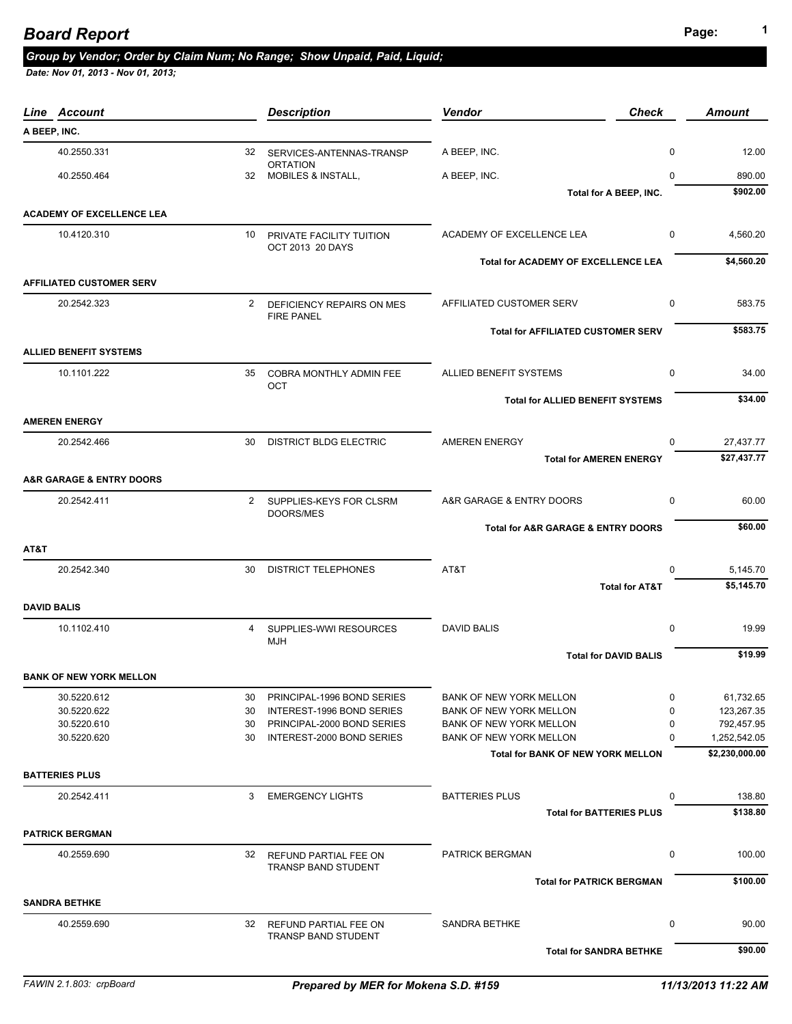|                    | Line Account                            |              | <b>Description</b>                              | <b>Vendor</b><br><b>Check</b>             |               | <b>Amount</b>                  |
|--------------------|-----------------------------------------|--------------|-------------------------------------------------|-------------------------------------------|---------------|--------------------------------|
| A BEEP, INC.       |                                         |              |                                                 |                                           |               |                                |
|                    | 40.2550.331                             |              | 32 SERVICES-ANTENNAS-TRANSP                     | A BEEP, INC.                              | 0             | 12.00                          |
|                    | 40.2550.464                             |              | <b>ORTATION</b><br>32 MOBILES & INSTALL,        | A BEEP, INC.                              | $\mathbf{0}$  | 890.00                         |
|                    |                                         |              |                                                 | Total for A BEEP, INC.                    |               | \$902.00                       |
|                    | <b>ACADEMY OF EXCELLENCE LEA</b>        |              |                                                 |                                           |               |                                |
|                    | 10.4120.310                             |              | 10 PRIVATE FACILITY TUITION                     | ACADEMY OF EXCELLENCE LEA                 | $\mathbf 0$   | 4,560.20                       |
|                    |                                         |              | OCT 2013 20 DAYS                                |                                           |               |                                |
|                    |                                         |              |                                                 | Total for ACADEMY OF EXCELLENCE LEA       |               | \$4,560.20                     |
|                    | <b>AFFILIATED CUSTOMER SERV</b>         |              |                                                 |                                           |               |                                |
|                    | 20.2542.323                             | $\mathbf{2}$ | DEFICIENCY REPAIRS ON MES                       | AFFILIATED CUSTOMER SERV                  | 0             | 583.75                         |
|                    |                                         |              | <b>FIRE PANEL</b>                               |                                           |               |                                |
|                    |                                         |              |                                                 | <b>Total for AFFILIATED CUSTOMER SERV</b> |               | \$583.75                       |
|                    | <b>ALLIED BENEFIT SYSTEMS</b>           |              |                                                 |                                           |               |                                |
|                    | 10.1101.222                             | 35           | COBRA MONTHLY ADMIN FEE                         | ALLIED BENEFIT SYSTEMS                    | 0             | 34.00                          |
|                    |                                         |              | OCT                                             |                                           |               |                                |
|                    |                                         |              |                                                 | <b>Total for ALLIED BENEFIT SYSTEMS</b>   |               | \$34.00                        |
|                    | <b>AMEREN ENERGY</b>                    |              |                                                 |                                           |               |                                |
|                    | 20.2542.466                             | 30           | <b>DISTRICT BLDG ELECTRIC</b>                   | <b>AMEREN ENERGY</b>                      | $\Omega$      | 27,437.77                      |
|                    |                                         |              |                                                 | <b>Total for AMEREN ENERGY</b>            |               | \$27,437.77                    |
|                    | <b>A&amp;R GARAGE &amp; ENTRY DOORS</b> |              |                                                 |                                           |               |                                |
|                    | 20.2542.411                             | $2^{\circ}$  |                                                 | A&R GARAGE & ENTRY DOORS                  | $\mathbf 0$   | 60.00                          |
|                    |                                         |              | SUPPLIES-KEYS FOR CLSRM<br>DOORS/MES            |                                           |               |                                |
|                    |                                         |              |                                                 | Total for A&R GARAGE & ENTRY DOORS        |               | \$60.00                        |
| AT&T               |                                         |              |                                                 |                                           |               |                                |
|                    | 20.2542.340                             | 30           | <b>DISTRICT TELEPHONES</b>                      | AT&T                                      | $\Omega$      | 5,145.70                       |
|                    |                                         |              |                                                 | <b>Total for AT&amp;T</b>                 |               | \$5,145.70                     |
|                    |                                         |              |                                                 |                                           |               |                                |
| <b>DAVID BALIS</b> |                                         |              |                                                 |                                           |               |                                |
|                    | 10.1102.410                             | 4            | SUPPLIES-WWI RESOURCES                          | <b>DAVID BALIS</b>                        | 0             | 19.99                          |
|                    |                                         |              | <b>MJH</b>                                      | <b>Total for DAVID BALIS</b>              |               | \$19.99                        |
|                    |                                         |              |                                                 |                                           |               |                                |
|                    | <b>BANK OF NEW YORK MELLON</b>          |              |                                                 |                                           |               |                                |
|                    | 30.5220.612                             | 30           | PRINCIPAL-1996 BOND SERIES                      | <b>BANK OF NEW YORK MELLON</b>            | 0             | 61,732.65                      |
|                    | 30.5220.622                             | 30           | INTEREST-1996 BOND SERIES                       | <b>BANK OF NEW YORK MELLON</b>            | 0             | 123,267.35                     |
|                    | 30.5220.610                             | 30           | PRINCIPAL-2000 BOND SERIES                      | <b>BANK OF NEW YORK MELLON</b>            | 0<br>$\Omega$ | 792,457.95                     |
|                    | 30.5220.620                             | 30           | INTEREST-2000 BOND SERIES                       | BANK OF NEW YORK MELLON                   |               | 1,252,542.05<br>\$2,230,000.00 |
|                    |                                         |              |                                                 | <b>Total for BANK OF NEW YORK MELLON</b>  |               |                                |
|                    | <b>BATTERIES PLUS</b>                   |              |                                                 |                                           |               |                                |
|                    | 20.2542.411                             | 3            | <b>EMERGENCY LIGHTS</b>                         | <b>BATTERIES PLUS</b>                     | 0             | 138.80                         |
|                    |                                         |              |                                                 | <b>Total for BATTERIES PLUS</b>           |               | \$138.80                       |
|                    | <b>PATRICK BERGMAN</b>                  |              |                                                 |                                           |               |                                |
|                    | 40.2559.690                             |              | 32 REFUND PARTIAL FEE ON                        | PATRICK BERGMAN                           | 0             | 100.00                         |
|                    |                                         |              | TRANSP BAND STUDENT                             |                                           |               |                                |
|                    |                                         |              |                                                 | <b>Total for PATRICK BERGMAN</b>          |               | \$100.00                       |
|                    |                                         |              |                                                 |                                           |               |                                |
|                    | <b>SANDRA BETHKE</b>                    |              |                                                 |                                           |               |                                |
|                    |                                         |              |                                                 |                                           |               |                                |
|                    | 40.2559.690                             |              | 32 REFUND PARTIAL FEE ON<br>TRANSP BAND STUDENT | SANDRA BETHKE                             | 0             | 90.00                          |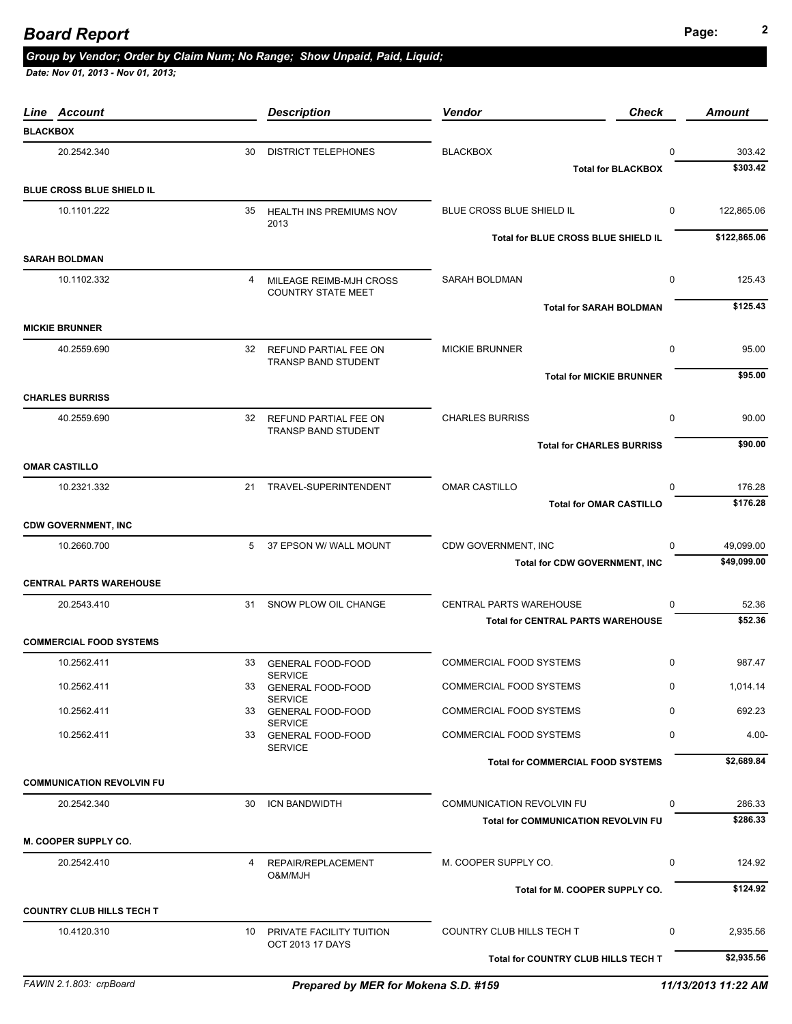## **Page: <sup>2</sup>** *Board Report*

#### *Group by Vendor; Order by Claim Num; No Range; Show Unpaid, Paid, Liquid;*

| Line Account                     |    | <b>Description</b>                                   | Vendor<br><b>Check</b>                     |             | Amount       |
|----------------------------------|----|------------------------------------------------------|--------------------------------------------|-------------|--------------|
| <b>BLACKBOX</b>                  |    |                                                      |                                            |             |              |
| 20.2542.340                      | 30 | <b>DISTRICT TELEPHONES</b>                           | <b>BLACKBOX</b>                            | $\Omega$    | 303.42       |
|                                  |    |                                                      | <b>Total for BLACKBOX</b>                  |             | \$303.42     |
| <b>BLUE CROSS BLUE SHIELD IL</b> |    |                                                      |                                            |             |              |
| 10.1101.222                      |    | 35 HEALTH INS PREMIUMS NOV<br>2013                   | BLUE CROSS BLUE SHIELD IL                  | 0           | 122,865.06   |
|                                  |    |                                                      | Total for BLUE CROSS BLUE SHIELD IL        |             | \$122,865.06 |
| <b>SARAH BOLDMAN</b>             |    |                                                      |                                            |             |              |
| 10.1102.332                      | 4  | MILEAGE REIMB-MJH CROSS<br><b>COUNTRY STATE MEET</b> | <b>SARAH BOLDMAN</b>                       | 0           | 125.43       |
|                                  |    |                                                      | <b>Total for SARAH BOLDMAN</b>             |             | \$125.43     |
| <b>MICKIE BRUNNER</b>            |    |                                                      |                                            |             |              |
| 40.2559.690                      |    | 32 REFUND PARTIAL FEE ON                             | <b>MICKIE BRUNNER</b>                      | $\mathbf 0$ | 95.00        |
|                                  |    | <b>TRANSP BAND STUDENT</b>                           | <b>Total for MICKIE BRUNNER</b>            |             | \$95.00      |
| <b>CHARLES BURRISS</b>           |    |                                                      |                                            |             |              |
| 40.2559.690                      |    | 32 REFUND PARTIAL FEE ON                             | <b>CHARLES BURRISS</b>                     | 0           | 90.00        |
|                                  |    | TRANSP BAND STUDENT                                  | <b>Total for CHARLES BURRISS</b>           |             | \$90.00      |
| <b>OMAR CASTILLO</b>             |    |                                                      |                                            |             |              |
| 10.2321.332                      |    | 21 TRAVEL-SUPERINTENDENT                             | <b>OMAR CASTILLO</b>                       | 0           | 176.28       |
|                                  |    |                                                      | <b>Total for OMAR CASTILLO</b>             |             | \$176.28     |
| <b>CDW GOVERNMENT, INC</b>       |    |                                                      |                                            |             |              |
| 10.2660.700                      |    | 5 37 EPSON W/ WALL MOUNT                             | CDW GOVERNMENT, INC                        | 0           | 49,099.00    |
|                                  |    |                                                      | <b>Total for CDW GOVERNMENT, INC</b>       |             | \$49,099.00  |
| <b>CENTRAL PARTS WAREHOUSE</b>   |    |                                                      |                                            |             |              |
| 20.2543.410                      | 31 | SNOW PLOW OIL CHANGE                                 | <b>CENTRAL PARTS WAREHOUSE</b>             | 0           | 52.36        |
|                                  |    |                                                      | <b>Total for CENTRAL PARTS WAREHOUSE</b>   |             | \$52.36      |
| <b>COMMERCIAL FOOD SYSTEMS</b>   |    |                                                      |                                            |             |              |
| 10.2562.411                      | 33 | <b>GENERAL FOOD-FOOD</b><br><b>SERVICE</b>           | <b>COMMERCIAL FOOD SYSTEMS</b>             | 0           | 987.47       |
| 10.2562.411                      |    | 33 GENERAL FOOD-FOOD                                 | <b>COMMERCIAL FOOD SYSTEMS</b>             | 0           | 1,014.14     |
| 10.2562.411                      |    | <b>SERVICE</b><br>33 GENERAL FOOD-FOOD               | <b>COMMERCIAL FOOD SYSTEMS</b>             | $\Omega$    | 692.23       |
| 10.2562.411                      |    | <b>SERVICE</b><br>33 GENERAL FOOD-FOOD               | COMMERCIAL FOOD SYSTEMS                    | 0           | $4.00 -$     |
|                                  |    | <b>SERVICE</b>                                       | <b>Total for COMMERCIAL FOOD SYSTEMS</b>   |             | \$2,689.84   |
| <b>COMMUNICATION REVOLVIN FU</b> |    |                                                      |                                            |             |              |
| 20.2542.340                      |    | 30 ICN BANDWIDTH                                     | COMMUNICATION REVOLVIN FU                  | 0           | 286.33       |
|                                  |    |                                                      | <b>Total for COMMUNICATION REVOLVIN FU</b> |             | \$286.33     |
| M. COOPER SUPPLY CO.             |    |                                                      |                                            |             |              |
| 20.2542.410                      |    | 4 REPAIR/REPLACEMENT                                 | M. COOPER SUPPLY CO.                       | 0           | 124.92       |
|                                  |    | <b>O&amp;M/MJH</b>                                   | Total for M. COOPER SUPPLY CO.             |             | \$124.92     |
| <b>COUNTRY CLUB HILLS TECH T</b> |    |                                                      |                                            |             |              |
| 10.4120.310                      |    | 10 PRIVATE FACILITY TUITION                          | COUNTRY CLUB HILLS TECH T                  | 0           | 2,935.56     |
|                                  |    | <b>OCT 2013 17 DAYS</b>                              | Total for COUNTRY CLUB HILLS TECH T        |             | \$2,935.56   |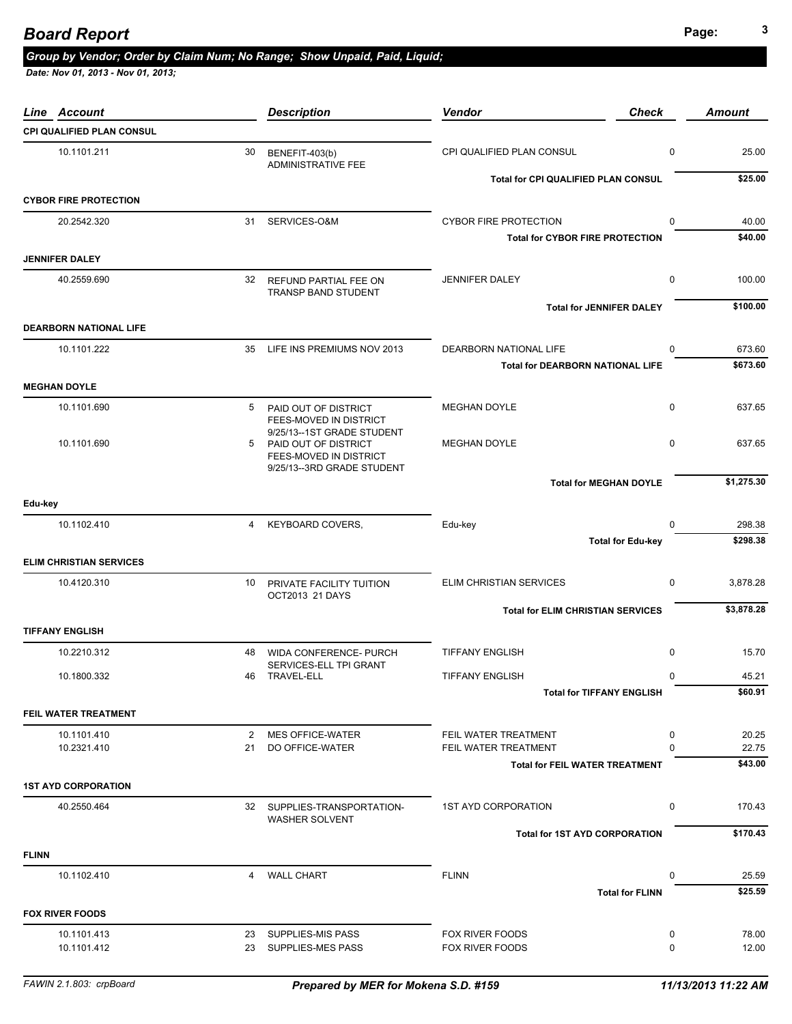### *Group by Vendor; Order by Claim Num; No Range; Show Unpaid, Paid, Liquid;*

| Account<br>Line                |    | <b>Description</b>                                                           | <b>Vendor</b>                            | <b>Check</b> | <b>Amount</b> |
|--------------------------------|----|------------------------------------------------------------------------------|------------------------------------------|--------------|---------------|
| CPI QUALIFIED PLAN CONSUL      |    |                                                                              |                                          |              |               |
| 10.1101.211                    | 30 | BENEFIT-403(b)<br><b>ADMINISTRATIVE FEE</b>                                  | CPI QUALIFIED PLAN CONSUL                | 0            | 25.00         |
|                                |    |                                                                              | Total for CPI QUALIFIED PLAN CONSUL      |              | \$25.00       |
| <b>CYBOR FIRE PROTECTION</b>   |    |                                                                              |                                          |              |               |
| 20.2542.320                    |    | 31 SERVICES-O&M                                                              | <b>CYBOR FIRE PROTECTION</b>             | $\mathbf 0$  | 40.00         |
|                                |    |                                                                              | <b>Total for CYBOR FIRE PROTECTION</b>   |              | \$40.00       |
| <b>JENNIFER DALEY</b>          |    |                                                                              |                                          |              |               |
| 40.2559.690                    | 32 | REFUND PARTIAL FEE ON<br>TRANSP BAND STUDENT                                 | JENNIFER DALEY                           | 0            | 100.00        |
|                                |    |                                                                              | <b>Total for JENNIFER DALEY</b>          |              | \$100.00      |
| <b>DEARBORN NATIONAL LIFE</b>  |    |                                                                              |                                          |              |               |
| 10.1101.222                    | 35 | LIFE INS PREMIUMS NOV 2013                                                   | DEARBORN NATIONAL LIFE                   | $\mathbf{0}$ | 673.60        |
|                                |    |                                                                              | <b>Total for DEARBORN NATIONAL LIFE</b>  |              | \$673.60      |
| <b>MEGHAN DOYLE</b>            |    |                                                                              |                                          |              |               |
| 10.1101.690                    | 5  | PAID OUT OF DISTRICT<br>FEES-MOVED IN DISTRICT                               | <b>MEGHAN DOYLE</b>                      | $\mathbf 0$  | 637.65        |
| 10.1101.690                    | 5  | 9/25/13--1ST GRADE STUDENT<br>PAID OUT OF DISTRICT<br>FEES-MOVED IN DISTRICT | <b>MEGHAN DOYLE</b>                      | $\mathbf 0$  | 637.65        |
|                                |    | 9/25/13--3RD GRADE STUDENT                                                   | <b>Total for MEGHAN DOYLE</b>            |              | \$1,275.30    |
| Edu-key                        |    |                                                                              |                                          |              |               |
| 10.1102.410                    | 4  | <b>KEYBOARD COVERS,</b>                                                      | Edu-key                                  | 0            | 298.38        |
|                                |    |                                                                              | <b>Total for Edu-key</b>                 |              | \$298.38      |
| <b>ELIM CHRISTIAN SERVICES</b> |    |                                                                              |                                          |              |               |
| 10.4120.310                    | 10 |                                                                              | ELIM CHRISTIAN SERVICES                  | 0            | 3,878.28      |
|                                |    | PRIVATE FACILITY TUITION<br>OCT2013 21 DAYS                                  |                                          |              |               |
|                                |    |                                                                              | <b>Total for ELIM CHRISTIAN SERVICES</b> |              | \$3,878.28    |
| <b>TIFFANY ENGLISH</b>         |    |                                                                              |                                          |              |               |
| 10.2210.312                    | 48 | <b>WIDA CONFERENCE- PURCH</b>                                                | <b>TIFFANY ENGLISH</b>                   | $\mathbf 0$  | 15.70         |
| 10.1800.332                    | 46 | SERVICES-ELL TPI GRANT<br>TRAVEL-ELL                                         | <b>TIFFANY ENGLISH</b>                   | $\mathbf 0$  | 45.21         |
|                                |    |                                                                              | <b>Total for TIFFANY ENGLISH</b>         |              | \$60.91       |
| FEIL WATER TREATMENT           |    |                                                                              |                                          |              |               |
| 10.1101.410                    | 2  | <b>MES OFFICE-WATER</b>                                                      | FEIL WATER TREATMENT                     | 0            | 20.25         |
| 10.2321.410                    | 21 | DO OFFICE-WATER                                                              | FEIL WATER TREATMENT                     | $\mathbf{0}$ | 22.75         |
|                                |    |                                                                              | <b>Total for FEIL WATER TREATMENT</b>    |              | \$43.00       |
| <b>1ST AYD CORPORATION</b>     |    |                                                                              |                                          |              |               |
| 40.2550.464                    |    | 32 SUPPLIES-TRANSPORTATION-                                                  | 1ST AYD CORPORATION                      | $\mathbf 0$  | 170.43        |
|                                |    | <b>WASHER SOLVENT</b>                                                        |                                          |              |               |
|                                |    |                                                                              | <b>Total for 1ST AYD CORPORATION</b>     |              | \$170.43      |
| <b>FLINN</b>                   |    |                                                                              |                                          |              |               |
| 10.1102.410                    | 4  | <b>WALL CHART</b>                                                            | <b>FLINN</b>                             | 0            | 25.59         |
|                                |    |                                                                              | <b>Total for FLINN</b>                   |              | \$25.59       |
| <b>FOX RIVER FOODS</b>         |    |                                                                              |                                          |              |               |
| 10.1101.413                    | 23 | <b>SUPPLIES-MIS PASS</b>                                                     | FOX RIVER FOODS                          | 0            | 78.00         |
| 10.1101.412                    | 23 | SUPPLIES-MES PASS                                                            | FOX RIVER FOODS                          | 0            | 12.00         |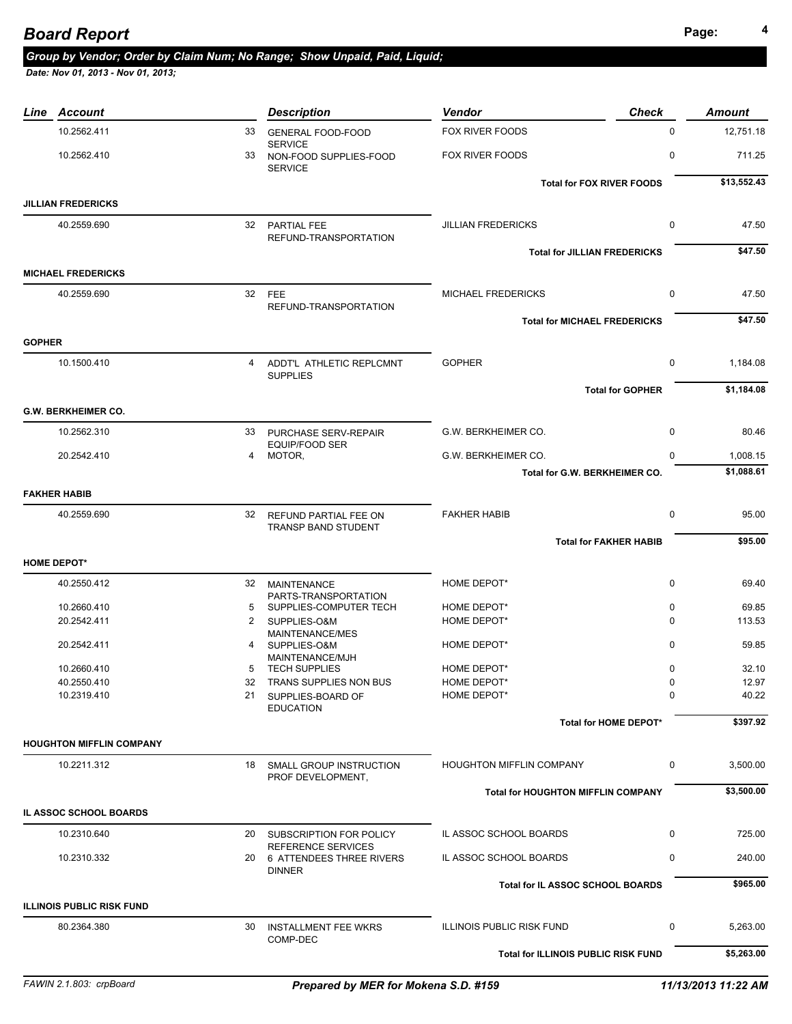### **Page: <sup>4</sup>** *Board Report*

## *Group by Vendor; Order by Claim Num; No Range; Show Unpaid, Paid, Liquid;*

| Line          | Account                          |                | <b>Description</b>                                         | Vendor                                    | <b>Check</b>            | <b>Amount</b> |
|---------------|----------------------------------|----------------|------------------------------------------------------------|-------------------------------------------|-------------------------|---------------|
|               | 10.2562.411                      | 33             | <b>GENERAL FOOD-FOOD</b>                                   | FOX RIVER FOODS                           | $\Omega$                | 12,751.18     |
|               | 10.2562.410                      | 33             | <b>SERVICE</b><br>NON-FOOD SUPPLIES-FOOD<br><b>SERVICE</b> | FOX RIVER FOODS                           | 0                       | 711.25        |
|               |                                  |                |                                                            | <b>Total for FOX RIVER FOODS</b>          |                         | \$13,552.43   |
|               | <b>JILLIAN FREDERICKS</b>        |                |                                                            |                                           |                         |               |
|               | 40.2559.690                      | 32             | PARTIAL FEE                                                | <b>JILLIAN FREDERICKS</b>                 | 0                       | 47.50         |
|               |                                  |                | REFUND-TRANSPORTATION                                      |                                           |                         |               |
|               |                                  |                |                                                            | <b>Total for JILLIAN FREDERICKS</b>       |                         | \$47.50       |
|               | <b>MICHAEL FREDERICKS</b>        |                |                                                            |                                           |                         |               |
|               | 40.2559.690                      | 32             | <b>FEE</b>                                                 | <b>MICHAEL FREDERICKS</b>                 | $\mathbf 0$             | 47.50         |
|               |                                  |                | REFUND-TRANSPORTATION                                      |                                           |                         |               |
|               |                                  |                |                                                            | <b>Total for MICHAEL FREDERICKS</b>       |                         | \$47.50       |
| <b>GOPHER</b> |                                  |                |                                                            |                                           |                         |               |
|               | 10.1500.410                      | 4              | ADDT'L ATHLETIC REPLCMNT                                   | <b>GOPHER</b>                             | 0                       | 1,184.08      |
|               |                                  |                | <b>SUPPLIES</b>                                            |                                           | <b>Total for GOPHER</b> | \$1,184.08    |
|               |                                  |                |                                                            |                                           |                         |               |
|               | <b>G.W. BERKHEIMER CO.</b>       |                |                                                            |                                           |                         |               |
|               | 10.2562.310                      | 33             | PURCHASE SERV-REPAIR<br><b>EQUIP/FOOD SER</b>              | G.W. BERKHEIMER CO.                       | $\mathbf 0$             | 80.46         |
|               | 20.2542.410                      | $\overline{4}$ | MOTOR,                                                     | G.W. BERKHEIMER CO.                       | 0                       | 1,008.15      |
|               |                                  |                |                                                            | Total for G.W. BERKHEIMER CO.             |                         | \$1.088.61    |
|               | <b>FAKHER HABIB</b>              |                |                                                            |                                           |                         |               |
|               | 40.2559.690                      | 32             | REFUND PARTIAL FEE ON                                      | <b>FAKHER HABIB</b>                       | 0                       | 95.00         |
|               |                                  |                | TRANSP BAND STUDENT                                        |                                           |                         |               |
|               |                                  |                |                                                            | <b>Total for FAKHER HABIB</b>             |                         | \$95.00       |
|               | <b>HOME DEPOT*</b>               |                |                                                            |                                           |                         |               |
|               | 40.2550.412                      | 32             | <b>MAINTENANCE</b>                                         | HOME DEPOT*                               | $\mathbf 0$             | 69.40         |
|               | 10.2660.410                      | 5              | PARTS-TRANSPORTATION<br>SUPPLIES-COMPUTER TECH             | HOME DEPOT*                               | $\mathbf 0$             | 69.85         |
|               | 20.2542.411                      | 2              | SUPPLIES-O&M                                               | HOME DEPOT*                               | $\Omega$                | 113.53        |
|               |                                  |                | MAINTENANCE/MES                                            |                                           |                         |               |
|               | 20.2542.411                      | 4              | SUPPLIES-O&M<br>MAINTENANCE/MJH                            | HOME DEPOT*                               | $\mathbf 0$             | 59.85         |
|               | 10.2660.410                      | 5              | <b>TECH SUPPLIES</b>                                       | HOME DEPOT*                               | 0                       | 32.10         |
|               | 40.2550.410                      | 32             | TRANS SUPPLIES NON BUS                                     | HOME DEPOT*                               | $\Omega$                | 12.97         |
|               | 10.2319.410                      |                | 21 SUPPLIES-BOARD OF<br><b>EDUCATION</b>                   | HOME DEPOT*                               | 0                       | 40.22         |
|               |                                  |                |                                                            |                                           | Total for HOME DEPOT*   | \$397.92      |
|               | <b>HOUGHTON MIFFLIN COMPANY</b>  |                |                                                            |                                           |                         |               |
|               | 10.2211.312                      |                | 18 SMALL GROUP INSTRUCTION                                 | <b>HOUGHTON MIFFLIN COMPANY</b>           | 0                       | 3,500.00      |
|               |                                  |                | PROF DEVELOPMENT,                                          |                                           |                         |               |
|               |                                  |                |                                                            | <b>Total for HOUGHTON MIFFLIN COMPANY</b> |                         | \$3,500.00    |
|               | IL ASSOC SCHOOL BOARDS           |                |                                                            |                                           |                         |               |
|               | 10.2310.640                      |                | 20 SUBSCRIPTION FOR POLICY                                 | IL ASSOC SCHOOL BOARDS                    | 0                       | 725.00        |
|               |                                  |                | REFERENCE SERVICES                                         |                                           |                         |               |
|               | 10.2310.332                      |                | 20 6 ATTENDEES THREE RIVERS<br><b>DINNER</b>               | IL ASSOC SCHOOL BOARDS                    | 0                       | 240.00        |
|               |                                  |                |                                                            | Total for IL ASSOC SCHOOL BOARDS          |                         | \$965.00      |
|               | <b>ILLINOIS PUBLIC RISK FUND</b> |                |                                                            |                                           |                         |               |
|               | 80.2364.380                      |                | 30 INSTALLMENT FEE WKRS                                    | <b>ILLINOIS PUBLIC RISK FUND</b>          | 0                       | 5,263.00      |
|               |                                  |                | COMP-DEC                                                   |                                           |                         |               |
|               |                                  |                |                                                            | Total for ILLINOIS PUBLIC RISK FUND       |                         | \$5,263.00    |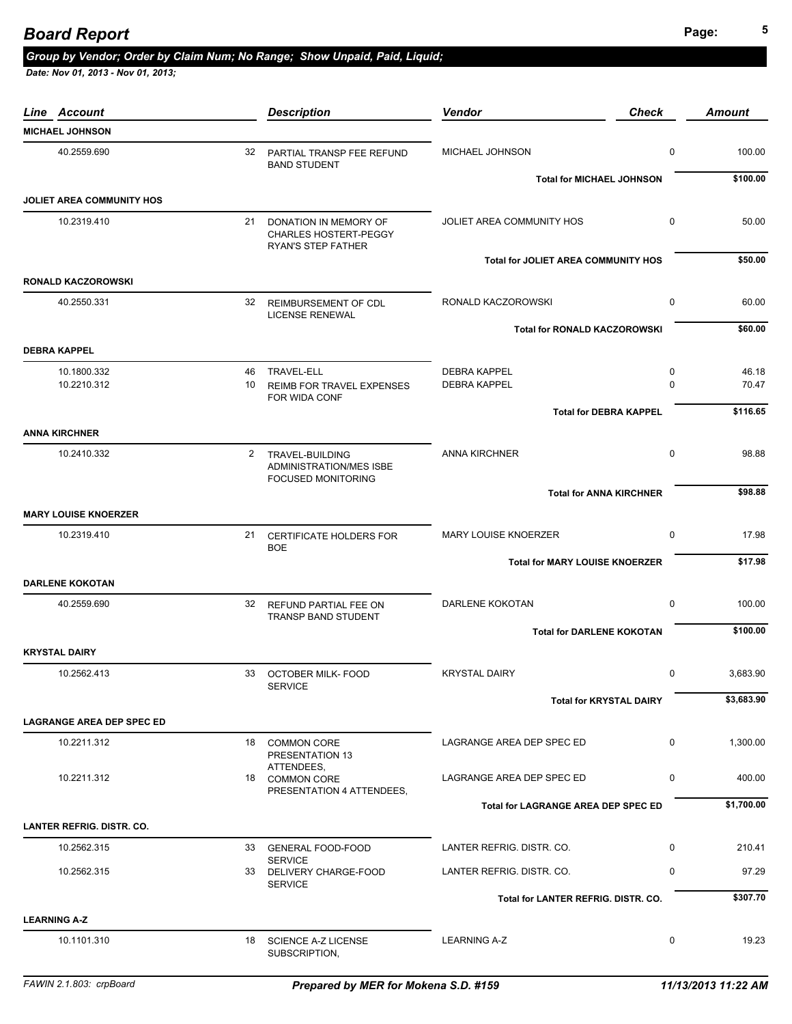## **Page: <sup>5</sup>** *Board Report*

### *Group by Vendor; Order by Claim Num; No Range; Show Unpaid, Paid, Liquid;*

| Line Account                     |    | <b>Description</b>                                                             | Vendor<br><b>Check</b>                     |             | <b>Amount</b> |
|----------------------------------|----|--------------------------------------------------------------------------------|--------------------------------------------|-------------|---------------|
| <b>MICHAEL JOHNSON</b>           |    |                                                                                |                                            |             |               |
| 40.2559.690                      |    | 32 PARTIAL TRANSP FEE REFUND<br><b>BAND STUDENT</b>                            | MICHAEL JOHNSON                            | 0           | 100.00        |
|                                  |    |                                                                                | <b>Total for MICHAEL JOHNSON</b>           |             | \$100.00      |
| JOLIET AREA COMMUNITY HOS        |    |                                                                                |                                            |             |               |
| 10.2319.410                      |    | 21 DONATION IN MEMORY OF<br><b>CHARLES HOSTERT-PEGGY</b><br>RYAN'S STEP FATHER | JOLIET AREA COMMUNITY HOS                  | 0           | 50.00         |
|                                  |    |                                                                                | <b>Total for JOLIET AREA COMMUNITY HOS</b> |             | \$50.00       |
| <b>RONALD KACZOROWSKI</b>        |    |                                                                                |                                            |             |               |
| 40.2550.331                      |    | 32 REIMBURSEMENT OF CDL<br><b>LICENSE RENEWAL</b>                              | RONALD KACZOROWSKI                         | $\mathbf 0$ | 60.00         |
|                                  |    |                                                                                | <b>Total for RONALD KACZOROWSKI</b>        |             | \$60.00       |
| <b>DEBRA KAPPEL</b>              |    |                                                                                |                                            |             |               |
| 10.1800.332                      | 46 | TRAVEL-ELL                                                                     | <b>DEBRA KAPPEL</b>                        | 0           | 46.18         |
| 10.2210.312                      | 10 | REIMB FOR TRAVEL EXPENSES                                                      | <b>DEBRA KAPPEL</b>                        | $\mathbf 0$ | 70.47         |
|                                  |    | FOR WIDA CONF                                                                  | <b>Total for DEBRA KAPPEL</b>              |             | \$116.65      |
| <b>ANNA KIRCHNER</b>             |    |                                                                                |                                            |             |               |
|                                  |    |                                                                                |                                            |             |               |
| 10.2410.332                      |    | 2 TRAVEL-BUILDING<br>ADMINISTRATION/MES ISBE<br><b>FOCUSED MONITORING</b>      | <b>ANNA KIRCHNER</b>                       | 0           | 98.88         |
|                                  |    |                                                                                | <b>Total for ANNA KIRCHNER</b>             |             | \$98.88       |
| <b>MARY LOUISE KNOERZER</b>      |    |                                                                                |                                            |             |               |
| 10.2319.410                      | 21 | <b>CERTIFICATE HOLDERS FOR</b><br><b>BOE</b>                                   | <b>MARY LOUISE KNOERZER</b>                | $\mathbf 0$ | 17.98         |
|                                  |    |                                                                                | <b>Total for MARY LOUISE KNOERZER</b>      |             | \$17.98       |
| <b>DARLENE KOKOTAN</b>           |    |                                                                                |                                            |             |               |
| 40.2559.690                      |    | 32 REFUND PARTIAL FEE ON<br>TRANSP BAND STUDENT                                | DARLENE KOKOTAN                            | $\mathbf 0$ | 100.00        |
|                                  |    |                                                                                | <b>Total for DARLENE KOKOTAN</b>           |             | \$100.00      |
| <b>KRYSTAL DAIRY</b>             |    |                                                                                |                                            |             |               |
| 10.2562.413                      |    | 33 OCTOBER MILK- FOOD<br><b>SERVICE</b>                                        | <b>KRYSTAL DAIRY</b>                       | $\mathbf 0$ | 3,683.90      |
|                                  |    |                                                                                | <b>Total for KRYSTAL DAIRY</b>             |             | \$3,683.90    |
| <b>LAGRANGE AREA DEP SPEC ED</b> |    |                                                                                |                                            |             |               |
| 10.2211.312                      |    | 18 COMMON CORE<br>PRESENTATION 13                                              | LAGRANGE AREA DEP SPEC ED                  | $\mathbf 0$ | 1,300.00      |
| 10.2211.312                      |    | ATTENDEES,<br>18 COMMON CORE<br>PRESENTATION 4 ATTENDEES,                      | LAGRANGE AREA DEP SPEC ED                  | 0           | 400.00        |
|                                  |    |                                                                                | <b>Total for LAGRANGE AREA DEP SPEC ED</b> |             | \$1,700.00    |
| <b>LANTER REFRIG. DISTR. CO.</b> |    |                                                                                |                                            |             |               |
| 10.2562.315                      |    | 33 GENERAL FOOD-FOOD                                                           | LANTER REFRIG. DISTR. CO.                  | $\mathbf 0$ | 210.41        |
| 10.2562.315                      |    | <b>SERVICE</b><br>33 DELIVERY CHARGE-FOOD<br><b>SERVICE</b>                    | LANTER REFRIG. DISTR. CO.                  | $\mathbf 0$ | 97.29         |
|                                  |    |                                                                                | Total for LANTER REFRIG. DISTR. CO.        |             | \$307.70      |
| <b>LEARNING A-Z</b>              |    |                                                                                |                                            |             |               |
| 10.1101.310                      |    | 18 SCIENCE A-Z LICENSE<br>SUBSCRIPTION,                                        | <b>LEARNING A-Z</b>                        | 0           | 19.23         |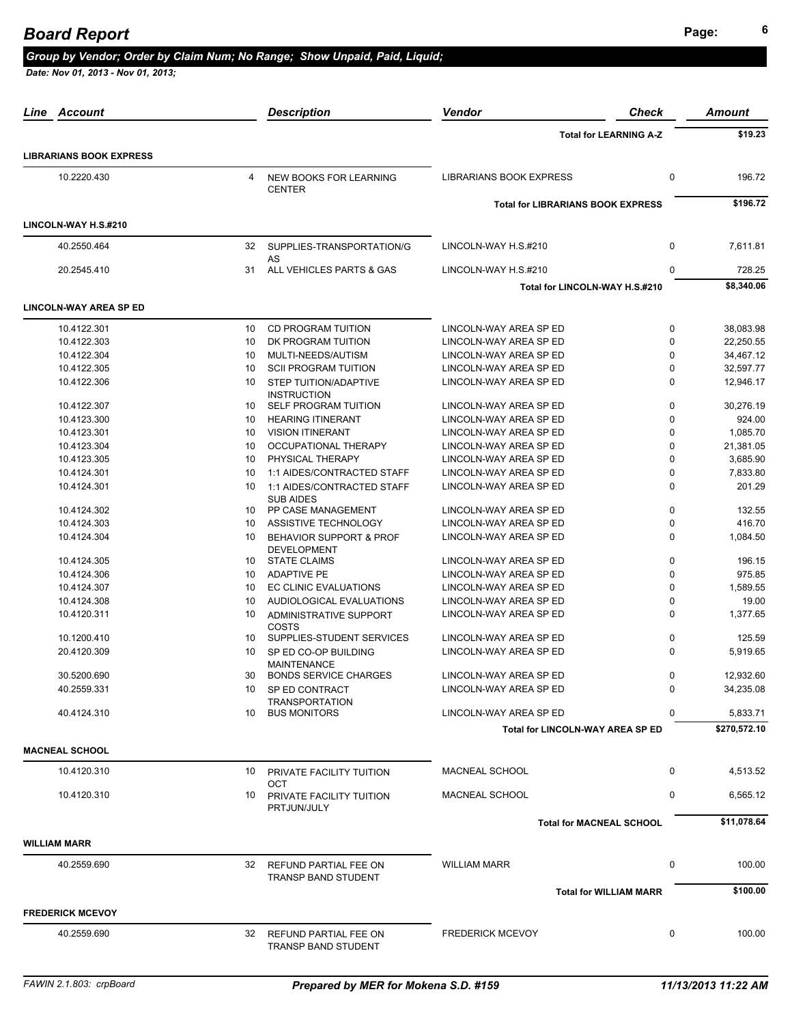## **Page: <sup>6</sup>** *Board Report*

#### *Group by Vendor; Order by Claim Num; No Range; Show Unpaid, Paid, Liquid;*

| Line<br>Account                |    | <b>Description</b>                                       | <b>Vendor</b>                            | Check       | Amount       |
|--------------------------------|----|----------------------------------------------------------|------------------------------------------|-------------|--------------|
|                                |    |                                                          | <b>Total for LEARNING A-Z</b>            |             | \$19.23      |
| <b>LIBRARIANS BOOK EXPRESS</b> |    |                                                          |                                          |             |              |
| 10.2220.430                    | 4  | NEW BOOKS FOR LEARNING<br><b>CENTER</b>                  | <b>LIBRARIANS BOOK EXPRESS</b>           | $\pmb{0}$   | 196.72       |
|                                |    |                                                          | <b>Total for LIBRARIANS BOOK EXPRESS</b> |             | \$196.72     |
| LINCOLN-WAY H.S.#210           |    |                                                          |                                          |             |              |
| 40.2550.464                    | 32 | SUPPLIES-TRANSPORTATION/G<br>AS                          | LINCOLN-WAY H.S.#210                     | $\mathbf 0$ | 7.611.81     |
| 20.2545.410                    | 31 | ALL VEHICLES PARTS & GAS                                 | LINCOLN-WAY H.S.#210                     | $\mathbf 0$ | 728.25       |
|                                |    |                                                          | Total for LINCOLN-WAY H.S.#210           |             | \$8,340.06   |
| <b>LINCOLN-WAY AREA SP ED</b>  |    |                                                          |                                          |             |              |
| 10.4122.301                    | 10 | <b>CD PROGRAM TUITION</b>                                | LINCOLN-WAY AREA SP ED                   | $\mathbf 0$ | 38,083.98    |
| 10.4122.303                    | 10 | DK PROGRAM TUITION                                       | LINCOLN-WAY AREA SP ED                   | 0           | 22,250.55    |
| 10.4122.304                    | 10 | MULTI-NEEDS/AUTISM                                       | LINCOLN-WAY AREA SP ED                   | 0           | 34,467.12    |
| 10.4122.305                    | 10 | <b>SCII PROGRAM TUITION</b>                              | LINCOLN-WAY AREA SP ED                   | 0           | 32,597.77    |
|                                |    |                                                          |                                          |             |              |
| 10.4122.306                    | 10 | STEP TUITION/ADAPTIVE<br><b>INSTRUCTION</b>              | LINCOLN-WAY AREA SP ED                   | 0           | 12,946.17    |
| 10.4122.307                    | 10 | SELF PROGRAM TUITION                                     | LINCOLN-WAY AREA SP ED                   | $\mathbf 0$ | 30,276.19    |
| 10.4123.300                    | 10 | <b>HEARING ITINERANT</b>                                 | LINCOLN-WAY AREA SP ED                   | 0           | 924.00       |
| 10.4123.301                    | 10 | <b>VISION ITINERANT</b>                                  | LINCOLN-WAY AREA SP ED                   | 0           | 1,085.70     |
| 10.4123.304                    | 10 | OCCUPATIONAL THERAPY                                     | LINCOLN-WAY AREA SP ED                   | 0           | 21,381.05    |
| 10.4123.305                    | 10 | PHYSICAL THERAPY                                         | LINCOLN-WAY AREA SP ED                   | 0           | 3,685.90     |
|                                |    |                                                          |                                          | 0           |              |
| 10.4124.301                    | 10 | 1:1 AIDES/CONTRACTED STAFF                               | LINCOLN-WAY AREA SP ED                   |             | 7,833.80     |
| 10.4124.301                    | 10 | 1:1 AIDES/CONTRACTED STAFF<br><b>SUB AIDES</b>           | LINCOLN-WAY AREA SP ED                   | 0           | 201.29       |
| 10.4124.302                    | 10 | PP CASE MANAGEMENT                                       | LINCOLN-WAY AREA SP ED                   | 0           | 132.55       |
| 10.4124.303                    | 10 | ASSISTIVE TECHNOLOGY                                     | LINCOLN-WAY AREA SP ED                   | 0           | 416.70       |
| 10.4124.304                    | 10 | <b>BEHAVIOR SUPPORT &amp; PROF</b><br><b>DEVELOPMENT</b> | LINCOLN-WAY AREA SP ED                   | 0           | 1,084.50     |
| 10.4124.305                    | 10 | <b>STATE CLAIMS</b>                                      | LINCOLN-WAY AREA SP ED                   | $\mathbf 0$ | 196.15       |
| 10.4124.306                    | 10 | <b>ADAPTIVE PE</b>                                       | LINCOLN-WAY AREA SP ED                   | 0           | 975.85       |
| 10.4124.307                    | 10 | EC CLINIC EVALUATIONS                                    | LINCOLN-WAY AREA SP ED                   | 0           | 1,589.55     |
| 10.4124.308                    | 10 | AUDIOLOGICAL EVALUATIONS                                 | LINCOLN-WAY AREA SP ED                   | 0           | 19.00        |
| 10.4120.311                    | 10 | <b>ADMINISTRATIVE SUPPORT</b>                            | LINCOLN-WAY AREA SP ED                   | 0           | 1,377.65     |
| 10.1200.410                    | 10 | COSTS<br>SUPPLIES-STUDENT SERVICES                       | LINCOLN-WAY AREA SP ED                   | 0           | 125.59       |
| 20.4120.309                    | 10 | SP ED CO-OP BUILDING                                     | LINCOLN-WAY AREA SP ED                   | 0           | 5,919.65     |
| 30.5200.690                    | 30 | <b>MAINTENANCE</b><br><b>BONDS SERVICE CHARGES</b>       | LINCOLN-WAY AREA SP ED                   | 0           | 12,932.60    |
| 40.2559.331                    | 10 | SP ED CONTRACT                                           | LINCOLN-WAY AREA SP ED                   | 0           | 34,235.08    |
| 40.4124.310                    | 10 | <b>TRANSPORTATION</b><br><b>BUS MONITORS</b>             | LINCOLN-WAY AREA SP ED                   | 0           | 5,833.71     |
|                                |    |                                                          | <b>Total for LINCOLN-WAY AREA SP ED</b>  |             | \$270,572.10 |
| <b>MACNEAL SCHOOL</b>          |    |                                                          |                                          |             |              |
|                                |    |                                                          |                                          | $\mathbf 0$ |              |
| 10.4120.310                    | 10 | PRIVATE FACILITY TUITION<br><b>OCT</b>                   | MACNEAL SCHOOL                           |             | 4,513.52     |
| 10.4120.310                    | 10 | PRIVATE FACILITY TUITION<br>PRTJUN/JULY                  | <b>MACNEAL SCHOOL</b>                    | 0           | 6,565.12     |
|                                |    |                                                          | <b>Total for MACNEAL SCHOOL</b>          |             | \$11,078.64  |
| <b>WILLIAM MARR</b>            |    |                                                          |                                          |             |              |
| 40.2559.690                    |    | 32 REFUND PARTIAL FEE ON<br><b>TRANSP BAND STUDENT</b>   | <b>WILLIAM MARR</b>                      | 0           | 100.00       |
|                                |    |                                                          | <b>Total for WILLIAM MARR</b>            |             | \$100.00     |
| <b>FREDERICK MCEVOY</b>        |    |                                                          |                                          |             |              |
| 40.2559.690                    | 32 | REFUND PARTIAL FEE ON<br>TRANSP BAND STUDENT             | <b>FREDERICK MCEVOY</b>                  | 0           | 100.00       |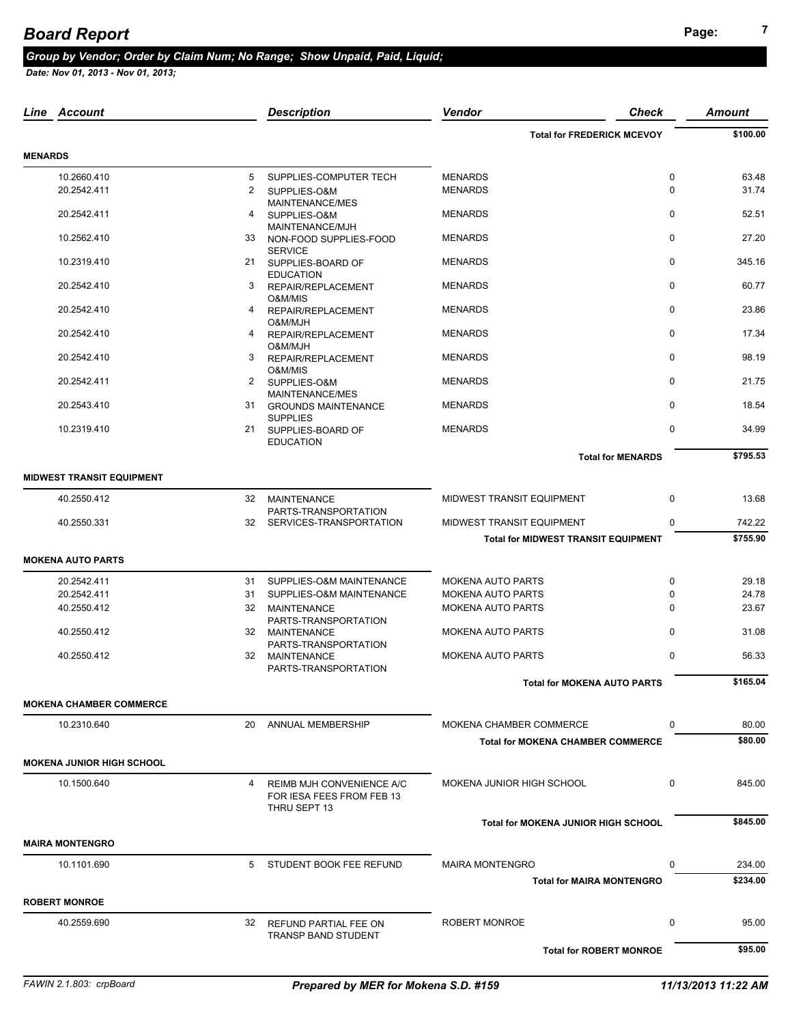## **Page: <sup>7</sup>** *Board Report*

#### *Group by Vendor; Order by Claim Num; No Range; Show Unpaid, Paid, Liquid;*

|                | Line Account                     |    | <b>Description</b>                                                     | <b>Vendor</b>                              | <b>Check</b> | <b>Amount</b> |
|----------------|----------------------------------|----|------------------------------------------------------------------------|--------------------------------------------|--------------|---------------|
|                |                                  |    |                                                                        | <b>Total for FREDERICK MCEVOY</b>          |              | \$100.00      |
| <b>MENARDS</b> |                                  |    |                                                                        |                                            |              |               |
|                | 10.2660.410                      | 5  | SUPPLIES-COMPUTER TECH                                                 | <b>MENARDS</b>                             | 0            | 63.48         |
|                | 20.2542.411                      | 2  | SUPPLIES-O&M<br>MAINTENANCE/MES                                        | <b>MENARDS</b>                             | 0            | 31.74         |
|                | 20.2542.411                      | 4  | SUPPLIES-O&M<br>MAINTENANCE/MJH                                        | <b>MENARDS</b>                             | $\mathbf 0$  | 52.51         |
|                | 10.2562.410                      |    | 33 NON-FOOD SUPPLIES-FOOD<br><b>SERVICE</b>                            | <b>MENARDS</b>                             | $\mathbf 0$  | 27.20         |
|                | 10.2319.410                      |    | 21 SUPPLIES-BOARD OF<br><b>EDUCATION</b>                               | <b>MENARDS</b>                             | 0            | 345.16        |
|                | 20.2542.410                      | 3  | REPAIR/REPLACEMENT<br>O&M/MIS                                          | <b>MENARDS</b>                             | $\mathbf 0$  | 60.77         |
|                | 20.2542.410                      | 4  | REPAIR/REPLACEMENT<br>O&M/MJH                                          | <b>MENARDS</b>                             | $\mathbf 0$  | 23.86         |
|                | 20.2542.410                      | 4  | REPAIR/REPLACEMENT<br>O&M/MJH                                          | <b>MENARDS</b>                             | $\mathbf 0$  | 17.34         |
|                | 20.2542.410                      | 3  | REPAIR/REPLACEMENT<br>O&M/MIS                                          | <b>MENARDS</b>                             | 0            | 98.19         |
|                | 20.2542.411                      |    | 2 SUPPLIES-O&M<br>MAINTENANCE/MES                                      | <b>MENARDS</b>                             | $\mathbf 0$  | 21.75         |
|                | 20.2543.410                      |    | 31 GROUNDS MAINTENANCE<br><b>SUPPLIES</b>                              | <b>MENARDS</b>                             | $\mathbf 0$  | 18.54         |
|                | 10.2319.410                      |    | 21 SUPPLIES-BOARD OF<br><b>EDUCATION</b>                               | <b>MENARDS</b>                             | $\mathbf 0$  | 34.99         |
|                |                                  |    |                                                                        | <b>Total for MENARDS</b>                   |              | \$795.53      |
|                | <b>MIDWEST TRANSIT EQUIPMENT</b> |    |                                                                        |                                            |              |               |
|                | 40.2550.412                      | 32 | MAINTENANCE<br>PARTS-TRANSPORTATION                                    | MIDWEST TRANSIT EQUIPMENT                  | $\mathbf 0$  | 13.68         |
|                | 40.2550.331                      | 32 | SERVICES-TRANSPORTATION                                                | MIDWEST TRANSIT EQUIPMENT                  | 0            | 742.22        |
|                |                                  |    |                                                                        | <b>Total for MIDWEST TRANSIT EQUIPMENT</b> |              | \$755.90      |
|                | <b>MOKENA AUTO PARTS</b>         |    |                                                                        |                                            |              |               |
|                | 20.2542.411                      |    | 31 SUPPLIES-O&M MAINTENANCE                                            | <b>MOKENA AUTO PARTS</b>                   | $\pmb{0}$    | 29.18         |
|                | 20.2542.411                      | 31 | SUPPLIES-O&M MAINTENANCE                                               | <b>MOKENA AUTO PARTS</b>                   | $\mathbf 0$  | 24.78         |
|                | 40.2550.412                      | 32 | MAINTENANCE                                                            | <b>MOKENA AUTO PARTS</b>                   | 0            | 23.67         |
|                | 40.2550.412                      |    | PARTS-TRANSPORTATION<br>32 MAINTENANCE                                 | <b>MOKENA AUTO PARTS</b>                   | $\Omega$     | 31.08         |
|                | 40.2550.412                      |    | PARTS-TRANSPORTATION<br>32 MAINTENANCE                                 | <b>MOKENA AUTO PARTS</b>                   | $\mathbf 0$  | 56.33         |
|                |                                  |    | PARTS-TRANSPORTATION                                                   | <b>Total for MOKENA AUTO PARTS</b>         |              | \$165.04      |
|                | <b>MOKENA CHAMBER COMMERCE</b>   |    |                                                                        |                                            |              |               |
|                | 10.2310.640                      | 20 | <b>ANNUAL MEMBERSHIP</b>                                               | MOKENA CHAMBER COMMERCE                    | 0            | 80.00         |
|                |                                  |    |                                                                        | <b>Total for MOKENA CHAMBER COMMERCE</b>   |              | \$80.00       |
|                | <b>MOKENA JUNIOR HIGH SCHOOL</b> |    |                                                                        |                                            |              |               |
|                | 10.1500.640                      | 4  | REIMB MJH CONVENIENCE A/C<br>FOR IESA FEES FROM FEB 13<br>THRU SEPT 13 | MOKENA JUNIOR HIGH SCHOOL                  | 0            | 845.00        |
|                |                                  |    |                                                                        | <b>Total for MOKENA JUNIOR HIGH SCHOOL</b> |              | \$845.00      |
|                | <b>MAIRA MONTENGRO</b>           |    |                                                                        |                                            |              |               |
|                | 10.1101.690                      | 5  | STUDENT BOOK FEE REFUND                                                | <b>MAIRA MONTENGRO</b>                     | $\Omega$     | 234.00        |
|                |                                  |    |                                                                        | <b>Total for MAIRA MONTENGRO</b>           |              | \$234.00      |
|                | <b>ROBERT MONROE</b>             |    |                                                                        |                                            |              |               |
|                | 40.2559.690                      | 32 | REFUND PARTIAL FEE ON<br><b>TRANSP BAND STUDENT</b>                    | ROBERT MONROE                              | 0            | 95.00         |
|                |                                  |    |                                                                        | <b>Total for ROBERT MONROE</b>             |              | \$95.00       |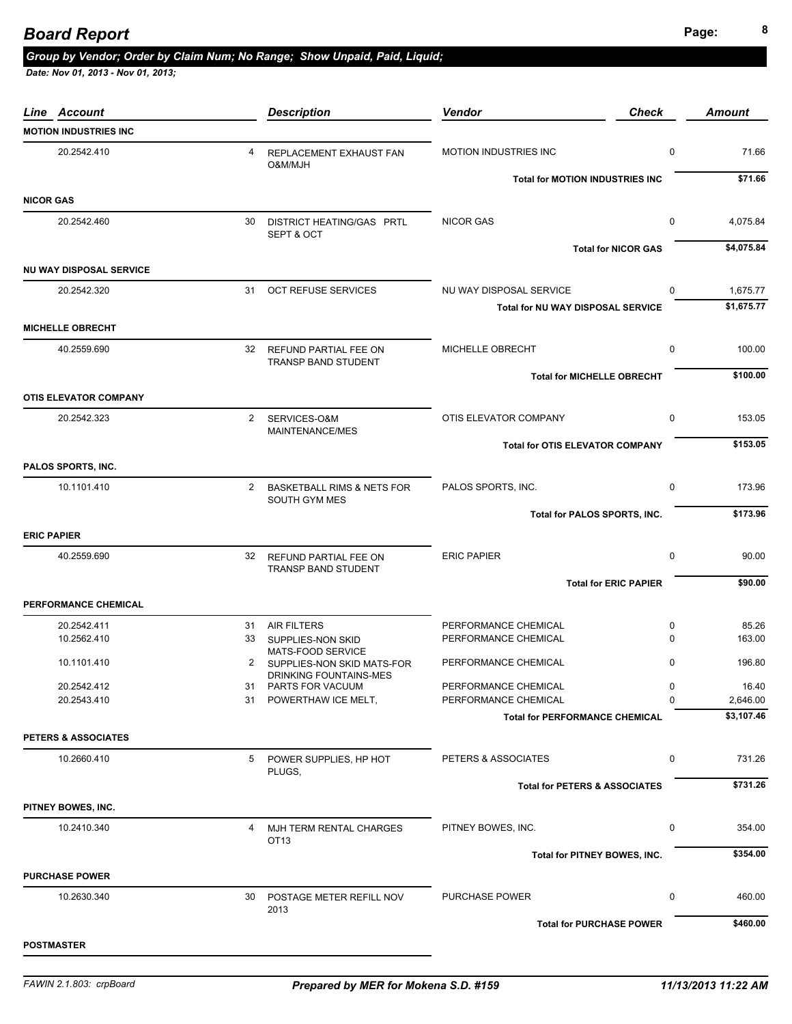#### **Page: <sup>8</sup>** *Board Report*

## *Group by Vendor; Order by Claim Num; No Range; Show Unpaid, Paid, Liquid;*

| <b>Line Account</b>            |                | <b>Description</b>                                   | <b>Vendor</b>                            | <b>Check</b>                 | <b>Amount</b> |
|--------------------------------|----------------|------------------------------------------------------|------------------------------------------|------------------------------|---------------|
| <b>MOTION INDUSTRIES INC</b>   |                |                                                      |                                          |                              |               |
| 20.2542.410                    | $\overline{4}$ | REPLACEMENT EXHAUST FAN<br>O&M/MJH                   | <b>MOTION INDUSTRIES INC</b>             | 0                            | 71.66         |
|                                |                |                                                      | <b>Total for MOTION INDUSTRIES INC</b>   |                              | \$71.66       |
| <b>NICOR GAS</b>               |                |                                                      |                                          |                              |               |
| 20.2542.460                    | 30             | DISTRICT HEATING/GAS PRTL<br>SEPT & OCT              | <b>NICOR GAS</b>                         | $\mathbf 0$                  | 4,075.84      |
| <b>NU WAY DISPOSAL SERVICE</b> |                |                                                      |                                          | <b>Total for NICOR GAS</b>   | \$4,075.84    |
| 20.2542.320                    |                | 31 OCT REFUSE SERVICES                               | NU WAY DISPOSAL SERVICE                  | $\Omega$                     | 1,675.77      |
|                                |                |                                                      | Total for NU WAY DISPOSAL SERVICE        |                              | \$1,675.77    |
| <b>MICHELLE OBRECHT</b>        |                |                                                      |                                          |                              |               |
| 40.2559.690                    |                | 32 REFUND PARTIAL FEE ON<br>TRANSP BAND STUDENT      | MICHELLE OBRECHT                         | 0                            | 100.00        |
|                                |                |                                                      | <b>Total for MICHELLE OBRECHT</b>        |                              | \$100.00      |
| <b>OTIS ELEVATOR COMPANY</b>   |                |                                                      |                                          |                              |               |
| 20.2542.323                    |                | 2 SERVICES-O&M<br>MAINTENANCE/MES                    | OTIS ELEVATOR COMPANY                    | 0                            | 153.05        |
|                                |                |                                                      | <b>Total for OTIS ELEVATOR COMPANY</b>   |                              | \$153.05      |
| PALOS SPORTS, INC.             |                |                                                      |                                          |                              |               |
| 10.1101.410                    |                | 2 BASKETBALL RIMS & NETS FOR<br><b>SOUTH GYM MES</b> | PALOS SPORTS, INC.                       | 0                            | 173.96        |
|                                |                |                                                      | Total for PALOS SPORTS, INC.             |                              | \$173.96      |
| <b>ERIC PAPIER</b>             |                |                                                      |                                          |                              |               |
| 40.2559.690                    | 32             | REFUND PARTIAL FEE ON<br>TRANSP BAND STUDENT         | <b>ERIC PAPIER</b>                       | 0                            | 90.00         |
|                                |                |                                                      |                                          | <b>Total for ERIC PAPIER</b> | \$90.00       |
| PERFORMANCE CHEMICAL           |                |                                                      |                                          |                              |               |
| 20.2542.411                    |                | 31 AIR FILTERS                                       | PERFORMANCE CHEMICAL                     | 0                            | 85.26         |
| 10.2562.410                    |                | 33 SUPPLIES-NON SKID<br>MATS-FOOD SERVICE            | PERFORMANCE CHEMICAL                     | 0                            | 163.00        |
| 10.1101.410                    | 2              | SUPPLIES-NON SKID MATS-FOR<br>DRINKING FOUNTAINS-MES | PERFORMANCE CHEMICAL                     | 0                            | 196.80        |
| 20.2542.412                    |                | 31 PARTS FOR VACUUM                                  | PERFORMANCE CHEMICAL                     | $\mathbf{0}$                 | 16.40         |
| 20.2543.410                    |                | 31 POWERTHAW ICE MELT,                               | PERFORMANCE CHEMICAL                     | 0                            | 2,646.00      |
|                                |                |                                                      | <b>Total for PERFORMANCE CHEMICAL</b>    |                              | \$3,107.46    |
| PETERS & ASSOCIATES            |                |                                                      |                                          |                              |               |
| 10.2660.410                    |                | 5 POWER SUPPLIES, HP HOT<br>PLUGS,                   | PETERS & ASSOCIATES                      | 0                            | 731.26        |
|                                |                |                                                      | <b>Total for PETERS &amp; ASSOCIATES</b> |                              | \$731.26      |
| PITNEY BOWES, INC.             |                |                                                      |                                          |                              |               |
| 10.2410.340                    |                | 4 MJH TERM RENTAL CHARGES<br>OT <sub>13</sub>        | PITNEY BOWES, INC.                       | 0                            | 354.00        |
|                                |                |                                                      | Total for PITNEY BOWES, INC.             |                              | \$354.00      |
| <b>PURCHASE POWER</b>          |                |                                                      |                                          |                              |               |
| 10.2630.340                    |                | 30 POSTAGE METER REFILL NOV<br>2013                  | PURCHASE POWER                           | 0                            | 460.00        |
|                                |                |                                                      | <b>Total for PURCHASE POWER</b>          |                              | \$460.00      |
| <b>POSTMASTER</b>              |                |                                                      |                                          |                              |               |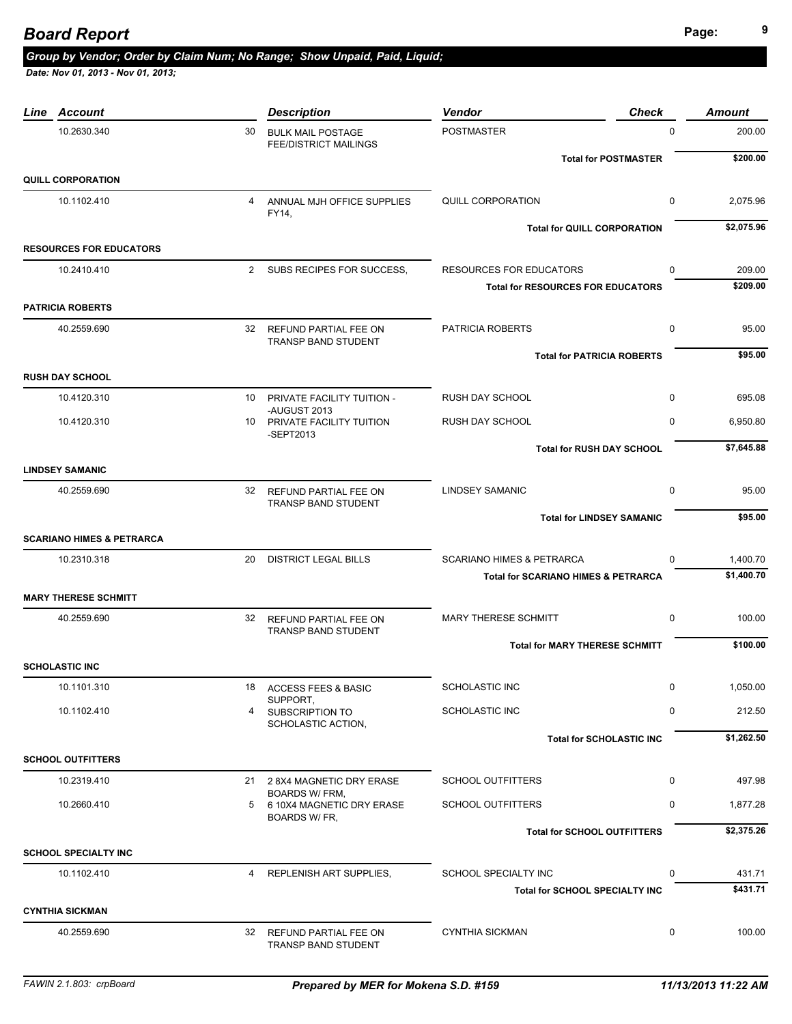#### *Group by Vendor; Order by Claim Num; No Range; Show Unpaid, Paid, Liquid;*

| Line<br>Account                      |    | <b>Description</b>                                       | <b>Vendor</b>                                  | <b>Check</b>                | <b>Amount</b> |
|--------------------------------------|----|----------------------------------------------------------|------------------------------------------------|-----------------------------|---------------|
| 10.2630.340                          | 30 | <b>BULK MAIL POSTAGE</b><br><b>FEE/DISTRICT MAILINGS</b> | <b>POSTMASTER</b>                              | $\Omega$                    | 200.00        |
|                                      |    |                                                          |                                                | <b>Total for POSTMASTER</b> | \$200.00      |
| <b>QUILL CORPORATION</b>             |    |                                                          |                                                |                             |               |
| 10.1102.410                          |    | 4 ANNUAL MJH OFFICE SUPPLIES<br>FY14,                    | <b>QUILL CORPORATION</b>                       | $\mathbf 0$                 | 2,075.96      |
|                                      |    |                                                          | <b>Total for QUILL CORPORATION</b>             |                             | \$2,075.96    |
| <b>RESOURCES FOR EDUCATORS</b>       |    |                                                          |                                                |                             |               |
| 10.2410.410                          |    | 2 SUBS RECIPES FOR SUCCESS,                              | <b>RESOURCES FOR EDUCATORS</b>                 | 0                           | 209.00        |
|                                      |    |                                                          | <b>Total for RESOURCES FOR EDUCATORS</b>       |                             | \$209.00      |
| <b>PATRICIA ROBERTS</b>              |    |                                                          |                                                |                             |               |
| 40.2559.690                          |    | 32 REFUND PARTIAL FEE ON<br><b>TRANSP BAND STUDENT</b>   | <b>PATRICIA ROBERTS</b>                        | $\mathbf 0$                 | 95.00         |
|                                      |    |                                                          | <b>Total for PATRICIA ROBERTS</b>              |                             | \$95.00       |
| <b>RUSH DAY SCHOOL</b>               |    |                                                          |                                                |                             |               |
| 10.4120.310                          | 10 | PRIVATE FACILITY TUITION -<br>-AUGUST 2013               | <b>RUSH DAY SCHOOL</b>                         | $\mathbf{0}$                | 695.08        |
| 10.4120.310                          |    | 10 PRIVATE FACILITY TUITION<br>-SEPT2013                 | RUSH DAY SCHOOL                                | $\Omega$                    | 6,950.80      |
|                                      |    |                                                          | <b>Total for RUSH DAY SCHOOL</b>               |                             | \$7,645.88    |
| <b>LINDSEY SAMANIC</b>               |    |                                                          |                                                |                             |               |
| 40.2559.690                          |    | 32 REFUND PARTIAL FEE ON<br>TRANSP BAND STUDENT          | <b>LINDSEY SAMANIC</b>                         | $\mathbf 0$                 | 95.00         |
|                                      |    |                                                          | <b>Total for LINDSEY SAMANIC</b>               |                             | \$95.00       |
| <b>SCARIANO HIMES &amp; PETRARCA</b> |    |                                                          |                                                |                             |               |
| 10.2310.318                          | 20 | <b>DISTRICT LEGAL BILLS</b>                              | <b>SCARIANO HIMES &amp; PETRARCA</b>           | 0                           | 1,400.70      |
|                                      |    |                                                          | <b>Total for SCARIANO HIMES &amp; PETRARCA</b> |                             | \$1,400.70    |
| <b>MARY THERESE SCHMITT</b>          |    |                                                          |                                                |                             |               |
| 40.2559.690                          |    | 32 REFUND PARTIAL FEE ON<br><b>TRANSP BAND STUDENT</b>   | <b>MARY THERESE SCHMITT</b>                    | $\mathbf 0$                 | 100.00        |
|                                      |    |                                                          | <b>Total for MARY THERESE SCHMITT</b>          |                             | \$100.00      |
| <b>SCHOLASTIC INC</b>                |    |                                                          |                                                |                             |               |
| 10.1101.310                          |    | 18 ACCESS FEES & BASIC<br>SUPPORT,                       | SCHOLASTIC INC                                 | $\mathbf{0}$                | 1,050.00      |
| 10.1102.410                          | 4  | SUBSCRIPTION TO<br>SCHOLASTIC ACTION,                    | <b>SCHOLASTIC INC</b>                          | 0                           | 212.50        |
|                                      |    |                                                          | <b>Total for SCHOLASTIC INC</b>                |                             | \$1,262.50    |
| <b>SCHOOL OUTFITTERS</b>             |    |                                                          |                                                |                             |               |
| 10.2319.410                          |    | 21 2 8X4 MAGNETIC DRY ERASE                              | <b>SCHOOL OUTFITTERS</b>                       | $\mathbf 0$                 | 497.98        |
| 10.2660.410                          | 5  | <b>BOARDS W/ FRM,</b><br>6 10X4 MAGNETIC DRY ERASE       | <b>SCHOOL OUTFITTERS</b>                       | $\mathbf 0$                 | 1,877.28      |
|                                      |    | BOARDS W/ FR,                                            | <b>Total for SCHOOL OUTFITTERS</b>             |                             | \$2,375.26    |
| <b>SCHOOL SPECIALTY INC</b>          |    |                                                          |                                                |                             |               |
| 10.1102.410                          | 4  | REPLENISH ART SUPPLIES,                                  | SCHOOL SPECIALTY INC                           | 0                           | 431.71        |
|                                      |    |                                                          | Total for SCHOOL SPECIALTY INC                 |                             | \$431.71      |
| <b>CYNTHIA SICKMAN</b>               |    |                                                          |                                                |                             |               |
| 40.2559.690                          |    | 32 REFUND PARTIAL FEE ON                                 | <b>CYNTHIA SICKMAN</b>                         | 0                           | 100.00        |
|                                      |    | TRANSP BAND STUDENT                                      |                                                |                             |               |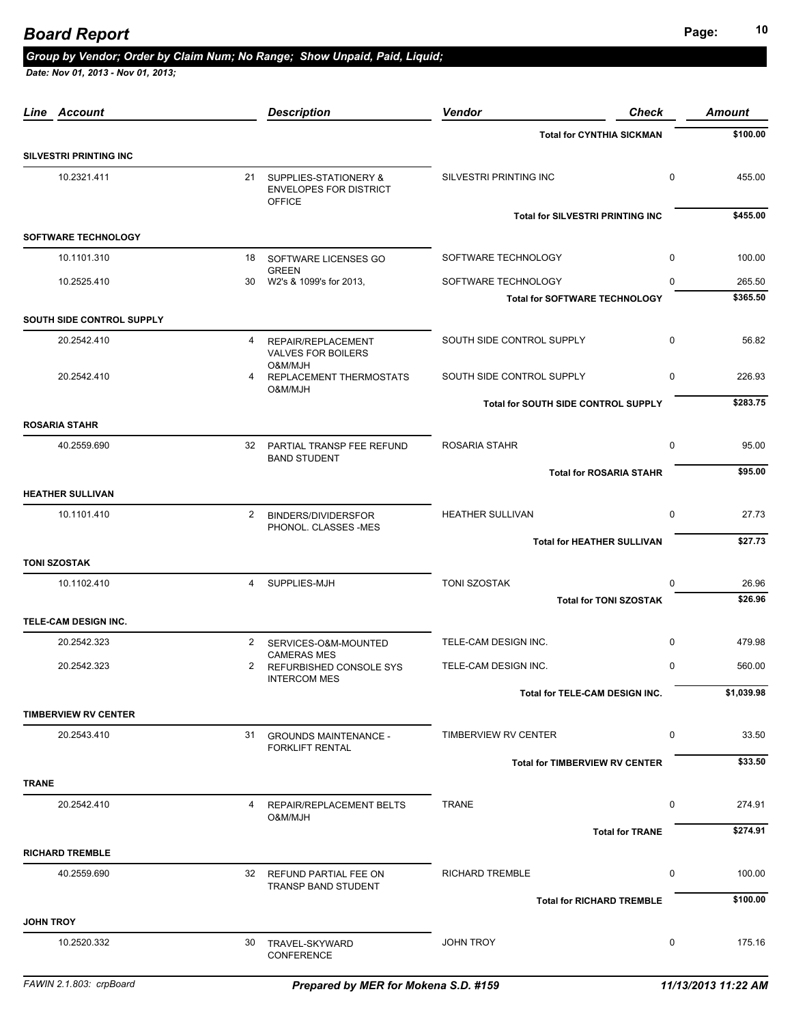# **Page: <sup>10</sup>** *Board Report*

#### *Group by Vendor; Order by Claim Num; No Range; Show Unpaid, Paid, Liquid;*

| <b>Account</b><br>Line        |                | <b>Description</b>                                                         | <b>Vendor</b>                              | <b>Check</b>           | <b>Amount</b> |
|-------------------------------|----------------|----------------------------------------------------------------------------|--------------------------------------------|------------------------|---------------|
|                               |                |                                                                            | <b>Total for CYNTHIA SICKMAN</b>           |                        | \$100.00      |
| <b>SILVESTRI PRINTING INC</b> |                |                                                                            |                                            |                        |               |
| 10.2321.411                   |                | 21 SUPPLIES-STATIONERY &<br><b>ENVELOPES FOR DISTRICT</b><br><b>OFFICE</b> | SILVESTRI PRINTING INC                     | $\mathbf 0$            | 455.00        |
|                               |                |                                                                            | <b>Total for SILVESTRI PRINTING INC</b>    |                        | \$455.00      |
| <b>SOFTWARE TECHNOLOGY</b>    |                |                                                                            |                                            |                        |               |
| 10.1101.310                   |                | 18 SOFTWARE LICENSES GO<br><b>GREEN</b>                                    | SOFTWARE TECHNOLOGY                        | $\mathbf 0$            | 100.00        |
| 10.2525.410                   | 30             | W2's & 1099's for 2013,                                                    | SOFTWARE TECHNOLOGY                        | $\Omega$               | 265.50        |
|                               |                |                                                                            | <b>Total for SOFTWARE TECHNOLOGY</b>       |                        | \$365.50      |
| SOUTH SIDE CONTROL SUPPLY     |                |                                                                            |                                            |                        |               |
| 20.2542.410                   | 4              | REPAIR/REPLACEMENT<br><b>VALVES FOR BOILERS</b><br>O&M/MJH                 | SOUTH SIDE CONTROL SUPPLY                  | $\mathbf 0$            | 56.82         |
| 20.2542.410                   | 4              | REPLACEMENT THERMOSTATS<br>O&M/MJH                                         | SOUTH SIDE CONTROL SUPPLY                  | $\mathbf 0$            | 226.93        |
|                               |                |                                                                            | <b>Total for SOUTH SIDE CONTROL SUPPLY</b> |                        | \$283.75      |
| <b>ROSARIA STAHR</b>          |                |                                                                            |                                            |                        |               |
| 40.2559.690                   | 32             | PARTIAL TRANSP FEE REFUND<br><b>BAND STUDENT</b>                           | ROSARIA STAHR                              | 0                      | 95.00         |
|                               |                |                                                                            | <b>Total for ROSARIA STAHR</b>             |                        | \$95.00       |
| <b>HEATHER SULLIVAN</b>       |                |                                                                            |                                            |                        |               |
| 10.1101.410                   | $\mathbf{2}$   | <b>BINDERS/DIVIDERSFOR</b><br>PHONOL. CLASSES -MES                         | <b>HEATHER SULLIVAN</b>                    | 0                      | 27.73         |
|                               |                |                                                                            | <b>Total for HEATHER SULLIVAN</b>          |                        | \$27.73       |
| <b>TONI SZOSTAK</b>           |                |                                                                            |                                            |                        |               |
| 10.1102.410                   | $\overline{4}$ | SUPPLIES-MJH                                                               | TONI SZOSTAK                               | $\Omega$               | 26.96         |
|                               |                |                                                                            | <b>Total for TONI SZOSTAK</b>              |                        | \$26.96       |
| TELE-CAM DESIGN INC.          |                |                                                                            |                                            |                        |               |
| 20.2542.323                   | $2^{\circ}$    | SERVICES-O&M-MOUNTED<br><b>CAMERAS MES</b>                                 | TELE-CAM DESIGN INC.                       | $\mathbf 0$            | 479.98        |
| 20.2542.323                   | 2              | REFURBISHED CONSOLE SYS<br><b>INTERCOM MES</b>                             | TELE-CAM DESIGN INC.                       | $\mathbf 0$            | 560.00        |
|                               |                |                                                                            | <b>Total for TELE-CAM DESIGN INC.</b>      |                        | \$1,039.98    |
| <b>TIMBERVIEW RV CENTER</b>   |                |                                                                            |                                            |                        |               |
| 20.2543.410                   | 31             | <b>GROUNDS MAINTENANCE -</b>                                               | TIMBERVIEW RV CENTER                       | 0                      | 33.50         |
|                               |                | <b>FORKLIFT RENTAL</b>                                                     | <b>Total for TIMBERVIEW RV CENTER</b>      |                        | \$33.50       |
| <b>TRANE</b>                  |                |                                                                            |                                            |                        |               |
| 20.2542.410                   | 4              | REPAIR/REPLACEMENT BELTS                                                   | <b>TRANE</b>                               | 0                      | 274.91        |
|                               |                | HLM/MJO                                                                    |                                            | <b>Total for TRANE</b> | \$274.91      |
| <b>RICHARD TREMBLE</b>        |                |                                                                            |                                            |                        |               |
| 40.2559.690                   |                | 32 REFUND PARTIAL FEE ON                                                   | <b>RICHARD TREMBLE</b>                     | 0                      | 100.00        |
|                               |                | TRANSP BAND STUDENT                                                        | <b>Total for RICHARD TREMBLE</b>           |                        | \$100.00      |
| <b>JOHN TROY</b>              |                |                                                                            |                                            |                        |               |
| 10.2520.332                   |                | 30 TRAVEL-SKYWARD<br>CONFERENCE                                            | <b>JOHN TROY</b>                           | 0                      | 175.16        |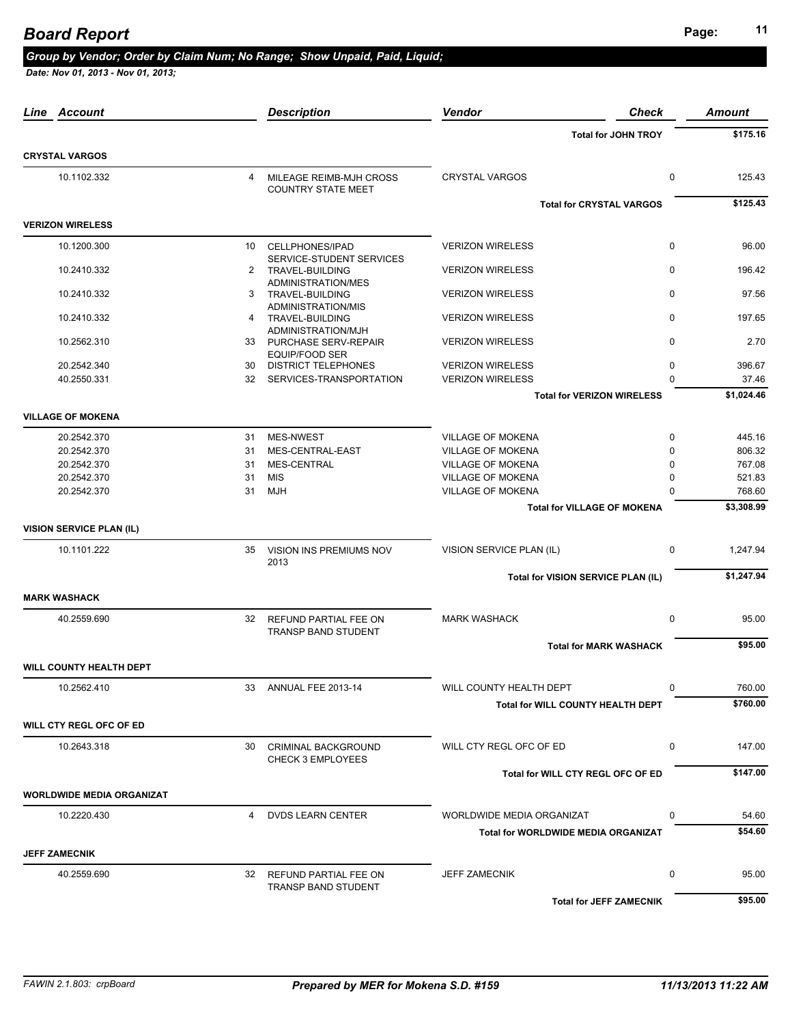# **Page: <sup>11</sup>** *Board Report*

#### *Group by Vendor; Order by Claim Num; No Range; Show Unpaid, Paid, Liquid;*

| <b>Total for JOHN TROY</b><br><b>CRYSTAL VARGOS</b><br>10.1102.332<br><b>CRYSTAL VARGOS</b><br>$\mathbf 0$<br>MILEAGE REIMB-MJH CROSS<br>4<br><b>COUNTRY STATE MEET</b><br><b>Total for CRYSTAL VARGOS</b><br><b>VERIZON WIRELESS</b><br>10.1200.300<br><b>VERIZON WIRELESS</b><br>$\mathbf 0$<br>CELLPHONES/IPAD<br>10<br>SERVICE-STUDENT SERVICES<br>$\mathbf 0$<br>10.2410.332<br><b>VERIZON WIRELESS</b><br>2 TRAVEL-BUILDING<br><b>ADMINISTRATION/MES</b><br>$\mathbf 0$<br>10.2410.332<br>3 TRAVEL-BUILDING<br><b>VERIZON WIRELESS</b><br>ADMINISTRATION/MIS<br>10.2410.332<br><b>VERIZON WIRELESS</b><br>$\mathbf 0$<br>TRAVEL-BUILDING<br>4<br>ADMINISTRATION/MJH<br>$\Omega$<br>10.2562.310<br>33 PURCHASE SERV-REPAIR<br><b>VERIZON WIRELESS</b><br><b>EQUIP/FOOD SER</b><br>0<br><b>DISTRICT TELEPHONES</b><br>20.2542.340<br>30<br><b>VERIZON WIRELESS</b><br>$\Omega$<br>SERVICES-TRANSPORTATION<br><b>VERIZON WIRELESS</b><br>40.2550.331<br>32<br><b>Total for VERIZON WIRELESS</b><br><b>VILLAGE OF MOKENA</b><br>31 MES-NWEST<br>VILLAGE OF MOKENA<br>0<br>20.2542.370<br>$\Omega$<br>20.2542.370<br>MES-CENTRAL-EAST<br><b>VILLAGE OF MOKENA</b><br>31<br>20.2542.370<br><b>MES-CENTRAL</b><br><b>VILLAGE OF MOKENA</b><br>0<br>31<br><b>VILLAGE OF MOKENA</b><br>20.2542.370<br>31<br><b>MIS</b><br>$\Omega$<br><b>MJH</b><br><b>VILLAGE OF MOKENA</b><br>$\Omega$<br>20.2542.370<br>31<br><b>Total for VILLAGE OF MOKENA</b><br><b>VISION SERVICE PLAN (IL)</b><br>10.1101.222<br>VISION SERVICE PLAN (IL)<br>35<br>VISION INS PREMIUMS NOV<br>0<br>2013<br>Total for VISION SERVICE PLAN (IL)<br><b>MARK WASHACK</b><br>40.2559.690<br><b>MARK WASHACK</b><br>$\mathbf 0$<br>REFUND PARTIAL FEE ON<br>32<br>TRANSP BAND STUDENT<br><b>Total for MARK WASHACK</b><br><b>WILL COUNTY HEALTH DEPT</b><br>10.2562.410<br>33 ANNUAL FEE 2013-14<br>WILL COUNTY HEALTH DEPT<br>0<br><b>Total for WILL COUNTY HEALTH DEPT</b><br>WILL CTY REGL OFC OF ED<br>WILL CTY REGL OFC OF ED<br>0<br>10.2643.318<br>30<br><b>CRIMINAL BACKGROUND</b><br><b>CHECK 3 EMPLOYEES</b><br>Total for WILL CTY REGL OFC OF ED<br><b>WORLDWIDE MEDIA ORGANIZAT</b><br>10.2220.430<br><b>DVDS LEARN CENTER</b><br>WORLDWIDE MEDIA ORGANIZAT<br>0<br>4<br><b>Total for WORLDWIDE MEDIA ORGANIZAT</b><br><b>JEFF ZAMECNIK</b><br>40.2559.690<br><b>JEFF ZAMECNIK</b><br>0<br>32 REFUND PARTIAL FEE ON<br>TRANSP BAND STUDENT<br><b>Total for JEFF ZAMECNIK</b> | Line Account | <b>Description</b> | Vendor | <b>Check</b> | Amount     |
|---------------------------------------------------------------------------------------------------------------------------------------------------------------------------------------------------------------------------------------------------------------------------------------------------------------------------------------------------------------------------------------------------------------------------------------------------------------------------------------------------------------------------------------------------------------------------------------------------------------------------------------------------------------------------------------------------------------------------------------------------------------------------------------------------------------------------------------------------------------------------------------------------------------------------------------------------------------------------------------------------------------------------------------------------------------------------------------------------------------------------------------------------------------------------------------------------------------------------------------------------------------------------------------------------------------------------------------------------------------------------------------------------------------------------------------------------------------------------------------------------------------------------------------------------------------------------------------------------------------------------------------------------------------------------------------------------------------------------------------------------------------------------------------------------------------------------------------------------------------------------------------------------------------------------------------------------------------------------------------------------------------------------------------------------------------------------------------------------------------------------------------------------------------------------------------------------------------------------------------------------------------------------------------------------------------------------------------------------------------------------------------------------------------------------------------------------------|--------------|--------------------|--------|--------------|------------|
|                                                                                                                                                                                                                                                                                                                                                                                                                                                                                                                                                                                                                                                                                                                                                                                                                                                                                                                                                                                                                                                                                                                                                                                                                                                                                                                                                                                                                                                                                                                                                                                                                                                                                                                                                                                                                                                                                                                                                                                                                                                                                                                                                                                                                                                                                                                                                                                                                                                         |              |                    |        |              | \$175.16   |
|                                                                                                                                                                                                                                                                                                                                                                                                                                                                                                                                                                                                                                                                                                                                                                                                                                                                                                                                                                                                                                                                                                                                                                                                                                                                                                                                                                                                                                                                                                                                                                                                                                                                                                                                                                                                                                                                                                                                                                                                                                                                                                                                                                                                                                                                                                                                                                                                                                                         |              |                    |        |              |            |
|                                                                                                                                                                                                                                                                                                                                                                                                                                                                                                                                                                                                                                                                                                                                                                                                                                                                                                                                                                                                                                                                                                                                                                                                                                                                                                                                                                                                                                                                                                                                                                                                                                                                                                                                                                                                                                                                                                                                                                                                                                                                                                                                                                                                                                                                                                                                                                                                                                                         |              |                    |        |              | 125.43     |
|                                                                                                                                                                                                                                                                                                                                                                                                                                                                                                                                                                                                                                                                                                                                                                                                                                                                                                                                                                                                                                                                                                                                                                                                                                                                                                                                                                                                                                                                                                                                                                                                                                                                                                                                                                                                                                                                                                                                                                                                                                                                                                                                                                                                                                                                                                                                                                                                                                                         |              |                    |        |              | \$125.43   |
|                                                                                                                                                                                                                                                                                                                                                                                                                                                                                                                                                                                                                                                                                                                                                                                                                                                                                                                                                                                                                                                                                                                                                                                                                                                                                                                                                                                                                                                                                                                                                                                                                                                                                                                                                                                                                                                                                                                                                                                                                                                                                                                                                                                                                                                                                                                                                                                                                                                         |              |                    |        |              |            |
|                                                                                                                                                                                                                                                                                                                                                                                                                                                                                                                                                                                                                                                                                                                                                                                                                                                                                                                                                                                                                                                                                                                                                                                                                                                                                                                                                                                                                                                                                                                                                                                                                                                                                                                                                                                                                                                                                                                                                                                                                                                                                                                                                                                                                                                                                                                                                                                                                                                         |              |                    |        |              | 96.00      |
|                                                                                                                                                                                                                                                                                                                                                                                                                                                                                                                                                                                                                                                                                                                                                                                                                                                                                                                                                                                                                                                                                                                                                                                                                                                                                                                                                                                                                                                                                                                                                                                                                                                                                                                                                                                                                                                                                                                                                                                                                                                                                                                                                                                                                                                                                                                                                                                                                                                         |              |                    |        |              | 196.42     |
|                                                                                                                                                                                                                                                                                                                                                                                                                                                                                                                                                                                                                                                                                                                                                                                                                                                                                                                                                                                                                                                                                                                                                                                                                                                                                                                                                                                                                                                                                                                                                                                                                                                                                                                                                                                                                                                                                                                                                                                                                                                                                                                                                                                                                                                                                                                                                                                                                                                         |              |                    |        |              | 97.56      |
|                                                                                                                                                                                                                                                                                                                                                                                                                                                                                                                                                                                                                                                                                                                                                                                                                                                                                                                                                                                                                                                                                                                                                                                                                                                                                                                                                                                                                                                                                                                                                                                                                                                                                                                                                                                                                                                                                                                                                                                                                                                                                                                                                                                                                                                                                                                                                                                                                                                         |              |                    |        |              | 197.65     |
|                                                                                                                                                                                                                                                                                                                                                                                                                                                                                                                                                                                                                                                                                                                                                                                                                                                                                                                                                                                                                                                                                                                                                                                                                                                                                                                                                                                                                                                                                                                                                                                                                                                                                                                                                                                                                                                                                                                                                                                                                                                                                                                                                                                                                                                                                                                                                                                                                                                         |              |                    |        |              | 2.70       |
|                                                                                                                                                                                                                                                                                                                                                                                                                                                                                                                                                                                                                                                                                                                                                                                                                                                                                                                                                                                                                                                                                                                                                                                                                                                                                                                                                                                                                                                                                                                                                                                                                                                                                                                                                                                                                                                                                                                                                                                                                                                                                                                                                                                                                                                                                                                                                                                                                                                         |              |                    |        |              | 396.67     |
|                                                                                                                                                                                                                                                                                                                                                                                                                                                                                                                                                                                                                                                                                                                                                                                                                                                                                                                                                                                                                                                                                                                                                                                                                                                                                                                                                                                                                                                                                                                                                                                                                                                                                                                                                                                                                                                                                                                                                                                                                                                                                                                                                                                                                                                                                                                                                                                                                                                         |              |                    |        |              | 37.46      |
|                                                                                                                                                                                                                                                                                                                                                                                                                                                                                                                                                                                                                                                                                                                                                                                                                                                                                                                                                                                                                                                                                                                                                                                                                                                                                                                                                                                                                                                                                                                                                                                                                                                                                                                                                                                                                                                                                                                                                                                                                                                                                                                                                                                                                                                                                                                                                                                                                                                         |              |                    |        |              | \$1,024.46 |
|                                                                                                                                                                                                                                                                                                                                                                                                                                                                                                                                                                                                                                                                                                                                                                                                                                                                                                                                                                                                                                                                                                                                                                                                                                                                                                                                                                                                                                                                                                                                                                                                                                                                                                                                                                                                                                                                                                                                                                                                                                                                                                                                                                                                                                                                                                                                                                                                                                                         |              |                    |        |              |            |
|                                                                                                                                                                                                                                                                                                                                                                                                                                                                                                                                                                                                                                                                                                                                                                                                                                                                                                                                                                                                                                                                                                                                                                                                                                                                                                                                                                                                                                                                                                                                                                                                                                                                                                                                                                                                                                                                                                                                                                                                                                                                                                                                                                                                                                                                                                                                                                                                                                                         |              |                    |        |              | 445.16     |
|                                                                                                                                                                                                                                                                                                                                                                                                                                                                                                                                                                                                                                                                                                                                                                                                                                                                                                                                                                                                                                                                                                                                                                                                                                                                                                                                                                                                                                                                                                                                                                                                                                                                                                                                                                                                                                                                                                                                                                                                                                                                                                                                                                                                                                                                                                                                                                                                                                                         |              |                    |        |              | 806.32     |
|                                                                                                                                                                                                                                                                                                                                                                                                                                                                                                                                                                                                                                                                                                                                                                                                                                                                                                                                                                                                                                                                                                                                                                                                                                                                                                                                                                                                                                                                                                                                                                                                                                                                                                                                                                                                                                                                                                                                                                                                                                                                                                                                                                                                                                                                                                                                                                                                                                                         |              |                    |        |              | 767.08     |
|                                                                                                                                                                                                                                                                                                                                                                                                                                                                                                                                                                                                                                                                                                                                                                                                                                                                                                                                                                                                                                                                                                                                                                                                                                                                                                                                                                                                                                                                                                                                                                                                                                                                                                                                                                                                                                                                                                                                                                                                                                                                                                                                                                                                                                                                                                                                                                                                                                                         |              |                    |        |              | 521.83     |
|                                                                                                                                                                                                                                                                                                                                                                                                                                                                                                                                                                                                                                                                                                                                                                                                                                                                                                                                                                                                                                                                                                                                                                                                                                                                                                                                                                                                                                                                                                                                                                                                                                                                                                                                                                                                                                                                                                                                                                                                                                                                                                                                                                                                                                                                                                                                                                                                                                                         |              |                    |        |              | 768.60     |
|                                                                                                                                                                                                                                                                                                                                                                                                                                                                                                                                                                                                                                                                                                                                                                                                                                                                                                                                                                                                                                                                                                                                                                                                                                                                                                                                                                                                                                                                                                                                                                                                                                                                                                                                                                                                                                                                                                                                                                                                                                                                                                                                                                                                                                                                                                                                                                                                                                                         |              |                    |        |              | \$3,308.99 |
|                                                                                                                                                                                                                                                                                                                                                                                                                                                                                                                                                                                                                                                                                                                                                                                                                                                                                                                                                                                                                                                                                                                                                                                                                                                                                                                                                                                                                                                                                                                                                                                                                                                                                                                                                                                                                                                                                                                                                                                                                                                                                                                                                                                                                                                                                                                                                                                                                                                         |              |                    |        |              |            |
|                                                                                                                                                                                                                                                                                                                                                                                                                                                                                                                                                                                                                                                                                                                                                                                                                                                                                                                                                                                                                                                                                                                                                                                                                                                                                                                                                                                                                                                                                                                                                                                                                                                                                                                                                                                                                                                                                                                                                                                                                                                                                                                                                                                                                                                                                                                                                                                                                                                         |              |                    |        |              | 1,247.94   |
|                                                                                                                                                                                                                                                                                                                                                                                                                                                                                                                                                                                                                                                                                                                                                                                                                                                                                                                                                                                                                                                                                                                                                                                                                                                                                                                                                                                                                                                                                                                                                                                                                                                                                                                                                                                                                                                                                                                                                                                                                                                                                                                                                                                                                                                                                                                                                                                                                                                         |              |                    |        |              | \$1,247.94 |
|                                                                                                                                                                                                                                                                                                                                                                                                                                                                                                                                                                                                                                                                                                                                                                                                                                                                                                                                                                                                                                                                                                                                                                                                                                                                                                                                                                                                                                                                                                                                                                                                                                                                                                                                                                                                                                                                                                                                                                                                                                                                                                                                                                                                                                                                                                                                                                                                                                                         |              |                    |        |              |            |
|                                                                                                                                                                                                                                                                                                                                                                                                                                                                                                                                                                                                                                                                                                                                                                                                                                                                                                                                                                                                                                                                                                                                                                                                                                                                                                                                                                                                                                                                                                                                                                                                                                                                                                                                                                                                                                                                                                                                                                                                                                                                                                                                                                                                                                                                                                                                                                                                                                                         |              |                    |        |              | 95.00      |
|                                                                                                                                                                                                                                                                                                                                                                                                                                                                                                                                                                                                                                                                                                                                                                                                                                                                                                                                                                                                                                                                                                                                                                                                                                                                                                                                                                                                                                                                                                                                                                                                                                                                                                                                                                                                                                                                                                                                                                                                                                                                                                                                                                                                                                                                                                                                                                                                                                                         |              |                    |        |              | \$95.00    |
|                                                                                                                                                                                                                                                                                                                                                                                                                                                                                                                                                                                                                                                                                                                                                                                                                                                                                                                                                                                                                                                                                                                                                                                                                                                                                                                                                                                                                                                                                                                                                                                                                                                                                                                                                                                                                                                                                                                                                                                                                                                                                                                                                                                                                                                                                                                                                                                                                                                         |              |                    |        |              |            |
|                                                                                                                                                                                                                                                                                                                                                                                                                                                                                                                                                                                                                                                                                                                                                                                                                                                                                                                                                                                                                                                                                                                                                                                                                                                                                                                                                                                                                                                                                                                                                                                                                                                                                                                                                                                                                                                                                                                                                                                                                                                                                                                                                                                                                                                                                                                                                                                                                                                         |              |                    |        |              | 760.00     |
|                                                                                                                                                                                                                                                                                                                                                                                                                                                                                                                                                                                                                                                                                                                                                                                                                                                                                                                                                                                                                                                                                                                                                                                                                                                                                                                                                                                                                                                                                                                                                                                                                                                                                                                                                                                                                                                                                                                                                                                                                                                                                                                                                                                                                                                                                                                                                                                                                                                         |              |                    |        |              | \$760.00   |
|                                                                                                                                                                                                                                                                                                                                                                                                                                                                                                                                                                                                                                                                                                                                                                                                                                                                                                                                                                                                                                                                                                                                                                                                                                                                                                                                                                                                                                                                                                                                                                                                                                                                                                                                                                                                                                                                                                                                                                                                                                                                                                                                                                                                                                                                                                                                                                                                                                                         |              |                    |        |              |            |
|                                                                                                                                                                                                                                                                                                                                                                                                                                                                                                                                                                                                                                                                                                                                                                                                                                                                                                                                                                                                                                                                                                                                                                                                                                                                                                                                                                                                                                                                                                                                                                                                                                                                                                                                                                                                                                                                                                                                                                                                                                                                                                                                                                                                                                                                                                                                                                                                                                                         |              |                    |        |              | 147.00     |
|                                                                                                                                                                                                                                                                                                                                                                                                                                                                                                                                                                                                                                                                                                                                                                                                                                                                                                                                                                                                                                                                                                                                                                                                                                                                                                                                                                                                                                                                                                                                                                                                                                                                                                                                                                                                                                                                                                                                                                                                                                                                                                                                                                                                                                                                                                                                                                                                                                                         |              |                    |        |              | \$147.00   |
|                                                                                                                                                                                                                                                                                                                                                                                                                                                                                                                                                                                                                                                                                                                                                                                                                                                                                                                                                                                                                                                                                                                                                                                                                                                                                                                                                                                                                                                                                                                                                                                                                                                                                                                                                                                                                                                                                                                                                                                                                                                                                                                                                                                                                                                                                                                                                                                                                                                         |              |                    |        |              |            |
|                                                                                                                                                                                                                                                                                                                                                                                                                                                                                                                                                                                                                                                                                                                                                                                                                                                                                                                                                                                                                                                                                                                                                                                                                                                                                                                                                                                                                                                                                                                                                                                                                                                                                                                                                                                                                                                                                                                                                                                                                                                                                                                                                                                                                                                                                                                                                                                                                                                         |              |                    |        |              | 54.60      |
|                                                                                                                                                                                                                                                                                                                                                                                                                                                                                                                                                                                                                                                                                                                                                                                                                                                                                                                                                                                                                                                                                                                                                                                                                                                                                                                                                                                                                                                                                                                                                                                                                                                                                                                                                                                                                                                                                                                                                                                                                                                                                                                                                                                                                                                                                                                                                                                                                                                         |              |                    |        |              | \$54.60    |
|                                                                                                                                                                                                                                                                                                                                                                                                                                                                                                                                                                                                                                                                                                                                                                                                                                                                                                                                                                                                                                                                                                                                                                                                                                                                                                                                                                                                                                                                                                                                                                                                                                                                                                                                                                                                                                                                                                                                                                                                                                                                                                                                                                                                                                                                                                                                                                                                                                                         |              |                    |        |              |            |
|                                                                                                                                                                                                                                                                                                                                                                                                                                                                                                                                                                                                                                                                                                                                                                                                                                                                                                                                                                                                                                                                                                                                                                                                                                                                                                                                                                                                                                                                                                                                                                                                                                                                                                                                                                                                                                                                                                                                                                                                                                                                                                                                                                                                                                                                                                                                                                                                                                                         |              |                    |        |              | 95.00      |
|                                                                                                                                                                                                                                                                                                                                                                                                                                                                                                                                                                                                                                                                                                                                                                                                                                                                                                                                                                                                                                                                                                                                                                                                                                                                                                                                                                                                                                                                                                                                                                                                                                                                                                                                                                                                                                                                                                                                                                                                                                                                                                                                                                                                                                                                                                                                                                                                                                                         |              |                    |        |              | \$95.00    |